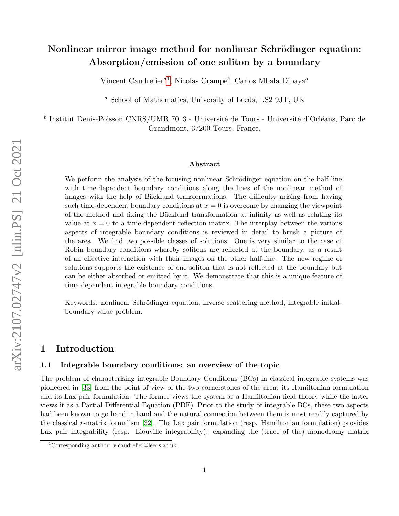# Nonlinear mirror image method for nonlinear Schrödinger equation: Absorption/emission of one soliton by a boundary

Vincent Caudrelier<sup>a[1](#page-0-0)</sup>, Nicolas Crampé<sup>b</sup>, Carlos Mbala Dibaya<sup>a</sup>

<sup>a</sup> School of Mathematics, University of Leeds, LS2 9JT, UK

<sup>b</sup> Institut Denis-Poisson CNRS/UMR 7013 - Université de Tours - Université d'Orléans, Parc de Grandmont, 37200 Tours, France.

#### Abstract

We perform the analysis of the focusing nonlinear Schrödinger equation on the half-line with time-dependent boundary conditions along the lines of the nonlinear method of images with the help of Bäcklund transformations. The difficulty arising from having such time-dependent boundary conditions at  $x = 0$  is overcome by changing the viewpoint of the method and fixing the Bäcklund transformation at infinity as well as relating its value at  $x = 0$  to a time-dependent reflection matrix. The interplay between the various aspects of integrable boundary conditions is reviewed in detail to brush a picture of the area. We find two possible classes of solutions. One is very similar to the case of Robin boundary conditions whereby solitons are reflected at the boundary, as a result of an effective interaction with their images on the other half-line. The new regime of solutions supports the existence of one soliton that is not reflected at the boundary but can be either absorbed or emitted by it. We demonstrate that this is a unique feature of time-dependent integrable boundary conditions.

Keywords: nonlinear Schrödinger equation, inverse scattering method, integrable initialboundary value problem.

# 1 Introduction

## 1.1 Integrable boundary conditions: an overview of the topic

The problem of characterising integrable Boundary Conditions (BCs) in classical integrable systems was pioneered in [\[33\]](#page-37-0) from the point of view of the two cornerstones of the area: its Hamiltonian formulation and its Lax pair formulation. The former views the system as a Hamiltonian field theory while the latter views it as a Partial Differential Equation (PDE). Prior to the study of integrable BCs, these two aspects had been known to go hand in hand and the natural connection between them is most readily captured by the classical r-matrix formalism  $[32]$ . The Lax pair formulation (resp. Hamiltonian formulation) provides Lax pair integrability (resp. Liouville integrability): expanding the (trace of the) monodromy matrix

<span id="page-0-0"></span><sup>1</sup>Corresponding author: v.caudrelier@leeds.ac.uk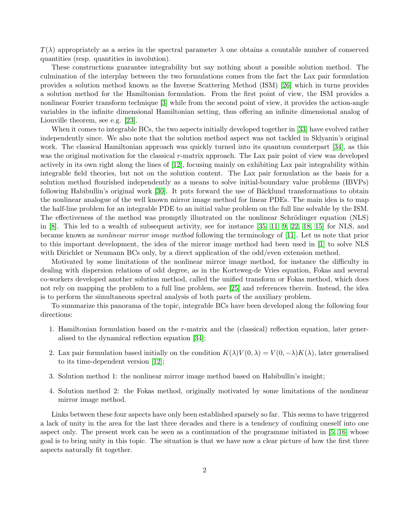$T(\lambda)$  appropriately as a series in the spectral parameter  $\lambda$  one obtains a countable number of conserved quantities (resp. quantities in involution).

These constructions guarantee integrability but say nothing about a possible solution method. The culmination of the interplay between the two formulations comes from the fact the Lax pair formulation provides a solution method known as the Inverse Scattering Method (ISM) [\[26\]](#page-36-0) which in turns provides a solution method for the Hamiltonian formulation. From the first point of view, the ISM provides a nonlinear Fourier transform technique [\[3\]](#page-35-0) while from the second point of view, it provides the action-angle variables in the infinite dimensional Hamiltonian setting, thus offering an infinite dimensional analog of Liouville theorem, see e.g. [\[23\]](#page-36-1).

When it comes to integrable BCs, the two aspects initially developed together in [\[33\]](#page-37-0) have evolved rather independently since. We also note that the solution method aspect was not tackled in Sklyanin's original work. The classical Hamiltonian approach was quickly turned into its quantum counterpart [\[34\]](#page-37-2), as this was the original motivation for the classical r-matrix approach. The Lax pair point of view was developed actively in its own right along the lines of [\[12\]](#page-36-2), focusing mainly on exhibiting Lax pair integrability within integrable field theories, but not on the solution content. The Lax pair formulation as the basis for a solution method flourished independently as a means to solve initial-boundary value problems (IBVPs) following Habibullin's original work [\[30\]](#page-37-3). It puts forward the use of Bäcklund transformations to obtain the nonlinear analogue of the well known mirror image method for linear PDEs. The main idea is to map the half-line problem for an integrable PDE to an initial value problem on the full line solvable by the ISM. The effectiveness of the method was promptly illustrated on the nonlinear Schrödinger equation (NLS) in [\[8\]](#page-35-1). This led to a wealth of subsequent activity, see for instance [\[35,](#page-37-4) [11,](#page-35-2) [9,](#page-35-3) [22,](#page-36-3) [18,](#page-36-4) [15\]](#page-36-5) for NLS, and became known as nonlinear mirror image method following the terminology of [\[11\]](#page-35-2). Let us note that prior to this important development, the idea of the mirror image method had been used in [\[1\]](#page-35-4) to solve NLS with Dirichlet or Neumann BCs only, by a direct application of the odd/even extension method.

Motivated by some limitations of the nonlinear mirror image method, for instance the difficulty in dealing with dispersion relations of odd degree, as in the Korteweg-de Vries equation, Fokas and several co-workers developed another solution method, called the unified transform or Fokas method, which does not rely on mapping the problem to a full line problem, see [\[25\]](#page-36-6) and references therein. Instead, the idea is to perform the simultaneous spectral analysis of both parts of the auxiliary problem.

To summarize this panorama of the topic, integrable BCs have been developed along the following four directions:

- 1. Hamiltonian formulation based on the r-matrix and the (classical) reflection equation, later generalised to the dynamical reflection equation [\[34\]](#page-37-2);
- 2. Lax pair formulation based initially on the condition  $K(\lambda)V(0, \lambda) = V(0, -\lambda)K(\lambda)$ , later generalised to its time-dependent version [\[12\]](#page-36-2);
- 3. Solution method 1: the nonlinear mirror image method based on Habibullin's insight;
- 4. Solution method 2: the Fokas method, originally motivated by some limitations of the nonlinear mirror image method.

Links between these four aspects have only been established sparsely so far. This seems to have triggered a lack of unity in the area for the last three decades and there is a tendency of confining oneself into one aspect only. The present work can be seen as a continuation of the programme initiated in [\[5,](#page-35-5) [16\]](#page-36-7) whose goal is to bring unity in this topic. The situation is that we have now a clear picture of how the first three aspects naturally fit together.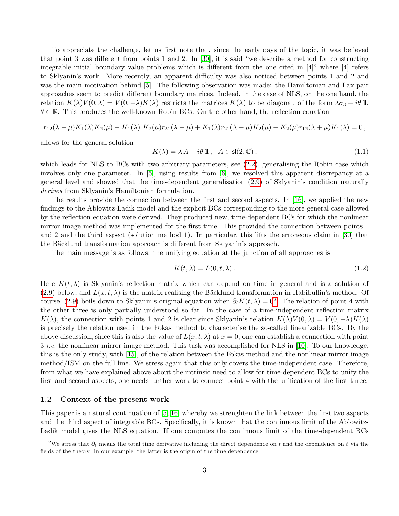To appreciate the challenge, let us first note that, since the early days of the topic, it was believed that point 3 was different from points 1 and 2. In [\[30\]](#page-37-3), it is said "we describe a method for constructing integrable initial boundary value problems which is different from the one cited in [4]" where [4] refers to Sklyanin's work. More recently, an apparent difficulty was also noticed between points 1 and 2 and was the main motivation behind [\[5\]](#page-35-5). The following observation was made: the Hamiltonian and Lax pair approaches seem to predict different boundary matrices. Indeed, in the case of NLS, on the one hand, the relation  $K(\lambda)V(0, \lambda) = V(0, -\lambda)K(\lambda)$  restricts the matrices  $K(\lambda)$  to be diagonal, of the form  $\lambda \sigma_3 + i\theta$  II,  $\theta \in \mathbb{R}$ . This produces the well-known Robin BCs. On the other hand, the reflection equation

$$
r_{12}(\lambda - \mu)K_1(\lambda)K_2(\mu) - K_1(\lambda) K_2(\mu) r_{21}(\lambda - \mu) + K_1(\lambda) r_{21}(\lambda + \mu) K_2(\mu) - K_2(\mu) r_{12}(\lambda + \mu) K_1(\lambda) = 0,
$$

allows for the general solution

$$
K(\lambda) = \lambda A + i\theta \, \mathbb{I}, \quad A \in \mathsf{sl}(2, \mathbb{C}), \tag{1.1}
$$

which leads for NLS to BCs with two arbitrary parameters, see  $(2.2)$ , generalising the Robin case which involves only one parameter. In [\[5\]](#page-35-5), using results from [\[6\]](#page-35-6), we resolved this apparent discrepancy at a general level and showed that the time-dependent generalisation [\(2.9\)](#page-4-0) of Sklyanin's condition naturally derives from Sklyanin's Hamiltonian formulation.

The results provide the connection between the first and second aspects. In [\[16\]](#page-36-7), we applied the new findings to the Ablowitz-Ladik model and the explicit BCs corresponding to the more general case allowed by the reflection equation were derived. They produced new, time-dependent BCs for which the nonlinear mirror image method was implemented for the first time. This provided the connection between points 1 and 2 and the third aspect (solution method 1). In particular, this lifts the erroneous claim in [\[30\]](#page-37-3) that the Bäcklund transformation approach is different from Sklyanin's approach.

The main message is as follows: the unifying equation at the junction of all approaches is

<span id="page-2-1"></span>
$$
K(t,\lambda) = L(0,t,\lambda). \tag{1.2}
$$

Here  $K(t, \lambda)$  is Sklyanin's reflection matrix which can depend on time in general and is a solution of [\(2.9\)](#page-4-0) below, and  $L(x, t, \lambda)$  is the matrix realising the Bäcklund transformation in Habibullin's method. Of course, [\(2.9\)](#page-4-0) boils down to Sklyanin's original equation when  $\partial_t K(t, \lambda) = 0^2$  $\partial_t K(t, \lambda) = 0^2$ . The relation of point 4 with the other three is only partially understood so far. In the case of a time-independent reflection matrix  $K(\lambda)$ , the connection with points 1 and 2 is clear since Sklyanin's relation  $K(\lambda)V(0, \lambda) = V(0, -\lambda)K(\lambda)$ is precisely the relation used in the Fokas method to characterise the so-called linearizable BCs. By the above discussion, since this is also the value of  $L(x, t, \lambda)$  at  $x = 0$ , one can establish a connection with point 3 i.e. the nonlinear mirror image method. This task was accomplished for NLS in [\[10\]](#page-35-7). To our knowledge, this is the only study, with [\[15\]](#page-36-5), of the relation between the Fokas method and the nonlinear mirror image method/ISM on the full line. We stress again that this only covers the time-independent case. Therefore, from what we have explained above about the intrinsic need to allow for time-dependent BCs to unify the first and second aspects, one needs further work to connect point 4 with the unification of the first three.

#### 1.2 Context of the present work

This paper is a natural continuation of [\[5,](#page-35-5) [16\]](#page-36-7) whereby we strenghten the link between the first two aspects and the third aspect of integrable BCs. Specifically, it is known that the continuous limit of the Ablowitz-Ladik model gives the NLS equation. If one computes the continuous limit of the time-dependent BCs

<span id="page-2-0"></span><sup>&</sup>lt;sup>2</sup>We stress that  $\partial_t$  means the total time derivative including the direct dependence on t and the dependence on t via the fields of the theory. In our example, the latter is the origin of the time dependence.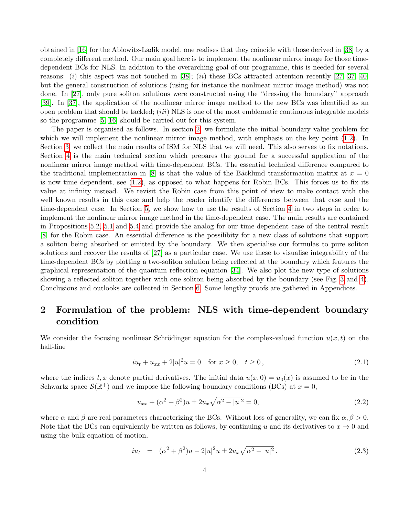obtained in [\[16\]](#page-36-7) for the Ablowitz-Ladik model, one realises that they coincide with those derived in [\[38\]](#page-37-5) by a completely different method. Our main goal here is to implement the nonlinear mirror image for those timedependent BCs for NLS. In addition to the overarching goal of our programme, this is needed for several reasons: (i) this aspect was not touched in [\[38\]](#page-37-5); (ii) these BCs attracted attention recently [\[27,](#page-36-8) [37,](#page-37-6) [40\]](#page-37-7) but the general construction of solutions (using for instance the nonlinear mirror image method) was not done. In [\[27\]](#page-36-8), only pure soliton solutions were constructed using the "dressing the boundary" approach [\[39\]](#page-37-8). In [\[37\]](#page-37-6), the application of the nonlinear mirror image method to the new BCs was identified as an open problem that should be tackled;  $(iii) NLS$  is one of the most emblematic continuous integrable models so the programme [\[5,](#page-35-5) [16\]](#page-36-7) should be carried out for this system.

The paper is organised as follows. In section [2,](#page-3-1) we formulate the initial-boundary value problem for which we will implement the nonlinear mirror image method, with emphasis on the key point  $(1.2)$ . In Section [3,](#page-7-0) we collect the main results of ISM for NLS that we will need. This also serves to fix notations. Section [4](#page-10-0) is the main technical section which prepares the ground for a successful application of the nonlinear mirror image method with time-dependent BCs. The essential technical difference compared to the traditional implementation in [\[8\]](#page-35-1) is that the value of the Bäcklund transformation matrix at  $x = 0$ is now time dependent, see [\(1.2\)](#page-2-1), as opposed to what happens for Robin BCs. This forces us to fix its value at infinity instead. We revisit the Robin case from this point of view to make contact with the well known results in this case and help the reader identify the differences between that case and the time-dependent case. In Section [5,](#page-18-0) we show how to use the results of Section [4](#page-10-0) in two steps in order to implement the nonlinear mirror image method in the time-dependent case. The main results are contained in Propositions [5.2,](#page-20-0) [5.1](#page-20-1) and [5.4](#page-22-0) and provide the analog for our time-dependent case of the central result [\[8\]](#page-35-1) for the Robin case. An essential difference is the possilibity for a new class of solutions that support a soliton being absorbed or emitted by the boundary. We then specialise our formulas to pure soliton solutions and recover the results of [\[27\]](#page-36-8) as a particular case. We use these to visualise integrability of the time-dependent BCs by plotting a two-soliton solution being reflected at the boundary which features the graphical representation of the quantum reflection equation [\[34\]](#page-37-2). We also plot the new type of solutions showing a reflected soliton together with one soliton being absorbed by the boundary (see Fig. [3](#page-26-0) and [4\)](#page-27-0). Conclusions and outlooks are collected in Section [6.](#page-27-1) Some lengthy proofs are gathered in Appendices.

# <span id="page-3-1"></span>2 Formulation of the problem: NLS with time-dependent boundary condition

We consider the focusing nonlinear Schrödinger equation for the complex-valued function  $u(x, t)$  on the half-line

<span id="page-3-3"></span>
$$
iu_t + u_{xx} + 2|u|^2 u = 0 \quad \text{for } x \ge 0, \quad t \ge 0,
$$
\n(2.1)

where the indices t, x denote partial derivatives. The initial data  $u(x, 0) = u_0(x)$  is assumed to be in the Schwartz space  $\mathcal{S}(\mathbb{R}^+)$  and we impose the following boundary conditions (BCs) at  $x=0$ ,

<span id="page-3-0"></span>
$$
u_{xx} + (\alpha^2 + \beta^2)u \pm 2u_x \sqrt{\alpha^2 - |u|^2} = 0,
$$
\n(2.2)

where  $\alpha$  and  $\beta$  are real parameters characterizing the BCs. Without loss of generality, we can fix  $\alpha, \beta > 0$ . Note that the BCs can equivalently be written as follows, by continuing u and its derivatives to  $x \to 0$  and using the bulk equation of motion,

<span id="page-3-2"></span>
$$
iu_t = (\alpha^2 + \beta^2)u - 2|u|^2u \pm 2u_x\sqrt{\alpha^2 - |u|^2}.
$$
 (2.3)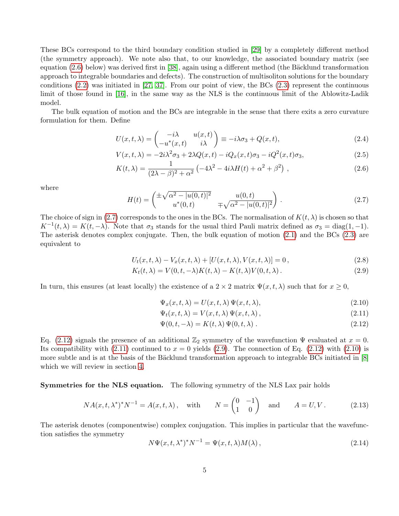These BCs correspond to the third boundary condition studied in [\[29\]](#page-36-9) by a completely different method (the symmetry approach). We note also that, to our knowledge, the associated boundary matrix (see equation [\(2.6\)](#page-4-1) below) was derived first in [\[38\]](#page-37-5), again using a different method (the Bäcklund transformation approach to integrable boundaries and defects). The construction of multisoliton solutions for the boundary conditions  $(2.2)$  was initiated in [\[27,](#page-36-8) [37\]](#page-37-6). From our point of view, the BCs  $(2.3)$  represent the continuous limit of those found in [\[16\]](#page-36-7), in the same way as the NLS is the continuous limit of the Ablowitz-Ladik model.

The bulk equation of motion and the BCs are integrable in the sense that there exits a zero curvature formulation for them. Define

<span id="page-4-1"></span>
$$
U(x,t,\lambda) = \begin{pmatrix} -i\lambda & u(x,t) \\ -u^*(x,t) & i\lambda \end{pmatrix} \equiv -i\lambda\sigma_3 + Q(x,t),\tag{2.4}
$$

$$
V(x,t,\lambda) = -2i\lambda^2 \sigma_3 + 2\lambda Q(x,t) - iQ_x(x,t)\sigma_3 - iQ^2(x,t)\sigma_3,
$$
\n(2.5)

$$
K(t,\lambda) = \frac{1}{(2\lambda - \beta)^2 + \alpha^2} \left( -4\lambda^2 - 4i\lambda H(t) + \alpha^2 + \beta^2 \right),
$$
\n(2.6)

where

<span id="page-4-2"></span>
$$
H(t) = \begin{pmatrix} \pm \sqrt{\alpha^2 - |u(0, t)|^2} & u(0, t) \\ u^*(0, t) & \mp \sqrt{\alpha^2 - |u(0, t)|^2} \end{pmatrix} .
$$
 (2.7)

The choice of sign in [\(2.7\)](#page-4-2) corresponds to the ones in the BCs. The normalisation of  $K(t, \lambda)$  is chosen so that  $K^{-1}(t, \lambda) = K(t, -\lambda)$ . Note that  $\sigma_3$  stands for the usual third Pauli matrix defined as  $\sigma_3 = \text{diag}(1, -1)$ . The asterisk denotes complex conjugate. Then, the bulk equation of motion [\(2.1\)](#page-3-3) and the BCs [\(2.3\)](#page-3-2) are equivalent to

<span id="page-4-0"></span>
$$
U_t(x,t,\lambda) - V_x(x,t,\lambda) + [U(x,t,\lambda), V(x,t,\lambda)] = 0, \qquad (2.8)
$$

$$
K_t(t,\lambda) = V(0,t,-\lambda)K(t,\lambda) - K(t,\lambda)V(0,t,\lambda).
$$
\n(2.9)

In turn, this ensures (at least locally) the existence of a  $2 \times 2$  matrix  $\Psi(x, t, \lambda)$  such that for  $x \geq 0$ ,

<span id="page-4-3"></span>
$$
\Psi_x(x, t, \lambda) = U(x, t, \lambda) \Psi(x, t, \lambda), \qquad (2.10)
$$

$$
\Psi_t(x, t, \lambda) = V(x, t, \lambda) \Psi(x, t, \lambda), \qquad (2.11)
$$

$$
\Psi(0, t, -\lambda) = K(t, \lambda) \Psi(0, t, \lambda).
$$
\n(2.12)

Eq. [\(2.12\)](#page-4-3) signals the presence of an additional  $\mathbb{Z}_2$  symmetry of the wavefunction  $\Psi$  evaluated at  $x = 0$ . Its compatibility with  $(2.11)$  continued to  $x = 0$  yields  $(2.9)$ . The connection of Eq.  $(2.12)$  with  $(2.10)$  is more subtle and is at the basis of the Bäcklund transformation approach to integrable BCs initiated in [\[8\]](#page-35-1) which we will review in section [4.](#page-10-0)

Symmetries for the NLS equation. The following symmetry of the NLS Lax pair holds

$$
NA(x, t, \lambda^*)^* N^{-1} = A(x, t, \lambda), \quad \text{with} \qquad N = \begin{pmatrix} 0 & -1 \\ 1 & 0 \end{pmatrix} \quad \text{and} \qquad A = U, V. \tag{2.13}
$$

The asterisk denotes (componentwise) complex conjugation. This implies in particular that the wavefunction satisfies the symmetry

<span id="page-4-4"></span>
$$
N\Psi(x,t,\lambda^*)^*N^{-1} = \Psi(x,t,\lambda)M(\lambda),\tag{2.14}
$$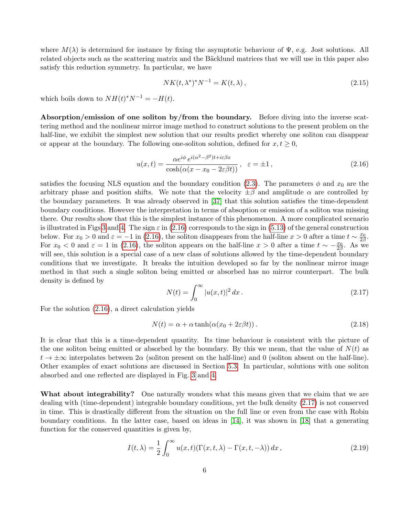where  $M(\lambda)$  is determined for instance by fixing the asymptotic behaviour of  $\Psi$ , e.g. Jost solutions. All related objects such as the scattering matrix and the Bäcklund matrices that we will use in this paper also satisfy this reduction symmetry. In particular, we have

$$
NK(t, \lambda^*)^*N^{-1} = K(t, \lambda), \qquad (2.15)
$$

which boils down to  $NH(t)^*N^{-1} = -H(t)$ .

Absorption/emission of one soliton by/from the boundary. Before diving into the inverse scattering method and the nonlinear mirror image method to construct solutions to the present problem on the half-line, we exhibit the simplest new solution that our results predict whereby one soliton can disappear or appear at the boundary. The following one-soliton solution, defined for  $x, t \geq 0$ ,

<span id="page-5-0"></span>
$$
u(x,t) = \frac{\alpha e^{i\phi} e^{i(\alpha^2 - \beta^2)t + i\varepsilon\beta x}}{\cosh(\alpha(x - x_0 - 2\varepsilon\beta t))}, \quad \varepsilon = \pm 1,
$$
\n(2.16)

satisfies the focusing NLS equation and the boundary condition [\(2.3\)](#page-3-2). The parameters  $\phi$  and  $x_0$  are the arbitrary phase and position shifts. We note that the velocity  $\pm \beta$  and amplitude  $\alpha$  are controlled by the boundary parameters. It was already observed in [\[37\]](#page-37-6) that this solution satisfies the time-dependent boundary conditions. However the interpretation in terms of absoption or emission of a soliton was missing there. Our results show that this is the simplest instance of this phenomenon. A more complicated scenario is illustrated in Figs [3](#page-26-0) and [4.](#page-27-0) The sign  $\varepsilon$  in [\(2.16\)](#page-5-0) corresponds to the sign in [\(5.13\)](#page-19-0) of the general construction below. For  $x_0 > 0$  and  $\varepsilon = -1$  in [\(2.16\)](#page-5-0), the soliton disappears from the half-line  $x > 0$  after a time  $t \sim \frac{x_0}{2\beta}$ . For  $x_0 < 0$  and  $\varepsilon = 1$  in [\(2.16\)](#page-5-0), the soliton appears on the half-line  $x > 0$  after a time  $t \sim -\frac{x_0}{2\beta}$ . As we will see, this solution is a special case of a new class of solutions allowed by the time-dependent boundary conditions that we investigate. It breaks the intuition developed so far by the nonlinear mirror image method in that such a single soliton being emitted or absorbed has no mirror counterpart. The bulk density is defined by

<span id="page-5-1"></span>
$$
N(t) = \int_0^\infty |u(x, t)|^2 dx.
$$
 (2.17)

For the solution [\(2.16\)](#page-5-0), a direct calculation yields

<span id="page-5-2"></span>
$$
N(t) = \alpha + \alpha \tanh(\alpha(x_0 + 2\varepsilon\beta t)).
$$
\n(2.18)

It is clear that this is a time-dependent quantity. Its time behaviour is consistent with the picture of the one soliton being emitted or absorbed by the boundary. By this we mean, that the value of  $N(t)$  as  $t \to \pm \infty$  interpolates between  $2\alpha$  (soliton present on the half-line) and 0 (soliton absent on the half-line). Other examples of exact solutions are discussed in Section [5.3.](#page-24-0) In particular, solutions with one soliton absorbed and one reflected are displayed in Fig. [3](#page-26-0) and [4.](#page-27-0)

What about integrability? One naturally wonders what this means given that we claim that we are dealing with (time-dependent) integrable boundary conditions, yet the bulk density [\(2.17\)](#page-5-1) is not conserved in time. This is drastically different from the situation on the full line or even from the case with Robin boundary conditions. In the latter case, based on ideas in [\[14\]](#page-36-10), it was shown in [\[18\]](#page-36-4) that a generating function for the conserved quantities is given by,

$$
I(t,\lambda) = \frac{1}{2} \int_0^\infty u(x,t) (\Gamma(x,t,\lambda) - \Gamma(x,t,-\lambda)) dx,
$$
\n(2.19)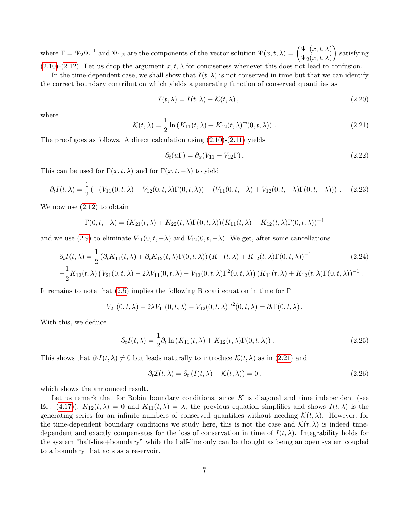where  $\Gamma = \Psi_2 \Psi_1^{-1}$  and  $\Psi_{1,2}$  are the components of the vector solution  $\Psi(x,t,\lambda) = \begin{pmatrix} \Psi_1(x,t,\lambda) \\ \Psi_2(x,t,\lambda) \end{pmatrix}$  $\Psi_2(x,t,\lambda)$  satisfying  $(2.10)-(2.12)$  $(2.10)-(2.12)$  $(2.10)-(2.12)$ . Let us drop the argument  $x, t, \lambda$  for conciseness whenever this does not lead to confusion.

In the time-dependent case, we shall show that  $I(t, \lambda)$  is not conserved in time but that we can identify the correct boundary contribution which yields a generating function of conserved quantities as

$$
\mathcal{I}(t,\lambda) = I(t,\lambda) - \mathcal{K}(t,\lambda),\tag{2.20}
$$

where

<span id="page-6-0"></span>
$$
\mathcal{K}(t,\lambda) = \frac{1}{2}\ln(K_{11}(t,\lambda) + K_{12}(t,\lambda)\Gamma(0,t,\lambda))\,. \tag{2.21}
$$

The proof goes as follows. A direct calculation using  $(2.10)-(2.11)$  $(2.10)-(2.11)$  yields

$$
\partial_t(u\Gamma) = \partial_x(V_{11} + V_{12}\Gamma). \tag{2.22}
$$

This can be used for  $\Gamma(x, t, \lambda)$  and for  $\Gamma(x, t, -\lambda)$  to yield

$$
\partial_t I(t,\lambda) = \frac{1}{2} \left( - (V_{11}(0,t,\lambda) + V_{12}(0,t,\lambda) \Gamma(0,t,\lambda)) + (V_{11}(0,t,-\lambda) + V_{12}(0,t,-\lambda) \Gamma(0,t,-\lambda)) \right). \tag{2.23}
$$

We now use  $(2.12)$  to obtain

$$
\Gamma(0, t, -\lambda) = (K_{21}(t, \lambda) + K_{22}(t, \lambda)\Gamma(0, t, \lambda))(K_{11}(t, \lambda) + K_{12}(t, \lambda)\Gamma(0, t, \lambda))^{-1}
$$

and we use [\(2.9\)](#page-4-0) to eliminate  $V_{11}(0, t, -\lambda)$  and  $V_{12}(0, t, -\lambda)$ . We get, after some cancellations

$$
\partial_t I(t,\lambda) = \frac{1}{2} \left( \partial_t K_{11}(t,\lambda) + \partial_t K_{12}(t,\lambda) \Gamma(0,t,\lambda) \right) (K_{11}(t,\lambda) + K_{12}(t,\lambda) \Gamma(0,t,\lambda))^{-1} \tag{2.24}
$$

$$
+ \frac{1}{2} K_{12}(t,\lambda) \left( V_{21}(0,t,\lambda) - 2\lambda V_{11}(0,t,\lambda) - V_{12}(0,t,\lambda) \Gamma^2(0,t,\lambda) \right) (K_{11}(t,\lambda) + K_{12}(t,\lambda) \Gamma(0,t,\lambda))^{-1}.
$$

It remains to note that [\(2.5\)](#page-4-1) implies the following Riccati equation in time for Γ

$$
V_{21}(0, t, \lambda) - 2\lambda V_{11}(0, t, \lambda) - V_{12}(0, t, \lambda) \Gamma^2(0, t, \lambda) = \partial_t \Gamma(0, t, \lambda).
$$

With this, we deduce

$$
\partial_t I(t,\lambda) = \frac{1}{2} \partial_t \ln \left( K_{11}(t,\lambda) + K_{12}(t,\lambda) \Gamma(0,t,\lambda) \right) \,. \tag{2.25}
$$

This shows that  $\partial_t I(t, \lambda) \neq 0$  but leads naturally to introduce  $\mathcal{K}(t, \lambda)$  as in [\(2.21\)](#page-6-0) and

<span id="page-6-1"></span>
$$
\partial_t \mathcal{I}(t, \lambda) = \partial_t \left( I(t, \lambda) - \mathcal{K}(t, \lambda) \right) = 0, \qquad (2.26)
$$

which shows the announced result.

Let us remark that for Robin boundary conditions, since  $K$  is diagonal and time independent (see Eq. [\(4.17\)](#page-15-0)),  $K_{12}(t, \lambda) = 0$  and  $K_{11}(t, \lambda) = \lambda$ , the previous equation simplifies and shows  $I(t, \lambda)$  is the generating series for an infinite numbers of conserved quantities without needing  $\mathcal{K}(t, \lambda)$ . However, for the time-dependent boundary conditions we study here, this is not the case and  $\mathcal{K}(t,\lambda)$  is indeed timedependent and exactly compensates for the loss of conservation in time of  $I(t, \lambda)$ . Integrability holds for the system "half-line+boundary" while the half-line only can be thought as being an open system coupled to a boundary that acts as a reservoir.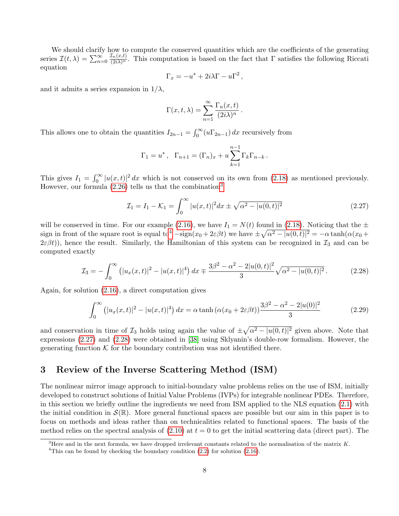We should clarify how to compute the conserved quantities which are the coefficients of the generating series  $\mathcal{I}(t,\lambda) = \sum_{n=0}^{\infty}$  $\frac{\mathcal{I}_n(x,t)}{(2i\lambda)^n}$ . This computation is based on the fact that  $\Gamma$  satisfies the following Riccati equation

$$
\Gamma_x = -u^* + 2i\lambda\Gamma - u\Gamma^2,
$$

and it admits a series expansion in  $1/\lambda$ ,

$$
\Gamma(x, t, \lambda) = \sum_{n=1}^{\infty} \frac{\Gamma_n(x, t)}{(2i\lambda)^n}.
$$

This allows one to obtain the quantities  $I_{2n-1} = \int_0^\infty (u\Gamma_{2n-1}) dx$  recursively from

$$
\Gamma_1 = u^*, \ \Gamma_{n+1} = (\Gamma_n)_x + u \sum_{k=1}^{n-1} \Gamma_k \Gamma_{n-k}.
$$

This gives  $I_1 = \int_0^\infty |u(x,t)|^2 dx$  which is not conserved on its own from [\(2.18\)](#page-5-2) as mentioned previously. However, our formula  $(2.26)$  tells us that the combination<sup>[3](#page-7-1)</sup>

<span id="page-7-3"></span>
$$
\mathcal{I}_1 = I_1 - \mathcal{K}_1 = \int_0^\infty |u(x, t)|^2 dx \pm \sqrt{\alpha^2 - |u(0, t)|^2} \tag{2.27}
$$

will be conserved in time. For our example [\(2.16\)](#page-5-0), we have  $I_1 = N(t)$  found in [\(2.18\)](#page-5-2). Noticing that the  $\pm$ sign in front of the square root is equal to<sup>[4](#page-7-2)</sup>  $-\text{sign}(x_0+2\varepsilon\beta t)$  we have  $\pm\sqrt{\alpha^2-|u(0,t)|^2}=-\alpha\tanh(\alpha(x_0+t))$  $2\varepsilon\beta t$ ), hence the result. Similarly, the Hamiltonian of this system can be recognized in  $\mathcal{I}_3$  and can be computed exactly

<span id="page-7-4"></span>
$$
\mathcal{I}_3 = -\int_0^\infty \left( |u_x(x,t)|^2 - |u(x,t)|^4 \right) dx \mp \frac{3\beta^2 - \alpha^2 - 2|u(0,t)|^2}{3} \sqrt{\alpha^2 - |u(0,t)|^2} \,. \tag{2.28}
$$

Again, for solution [\(2.16\)](#page-5-0), a direct computation gives

$$
\int_0^\infty \left( |u_x(x,t)|^2 - |u(x,t)|^4 \right) dx = \alpha \tanh\left( \alpha (x_0 + 2\varepsilon \beta t) \right) \frac{3\beta^2 - \alpha^2 - 2|u(0)|^2}{3} \tag{2.29}
$$

and conservation in time of  $\mathcal{I}_3$  holds using again the value of  $\pm \sqrt{\alpha^2 - |u(0,t)|^2}$  given above. Note that expressions [\(2.27\)](#page-7-3) and [\(2.28\)](#page-7-4) were obtained in [\[38\]](#page-37-5) using Sklyanin's double-row formalism. However, the generating function  $K$  for the boundary contribution was not identified there.

# <span id="page-7-0"></span>3 Review of the Inverse Scattering Method (ISM)

The nonlinear mirror image approach to initial-boundary value problems relies on the use of ISM, initially developed to construct solutions of Initial Value Problems (IVPs) for integrable nonlinear PDEs. Therefore, in this section we briefly outline the ingredients we need from ISM applied to the NLS equation [\(2.1\)](#page-3-3) with the initial condition in  $\mathcal{S}(\mathbb{R})$ . More general functional spaces are possible but our aim in this paper is to focus on methods and ideas rather than on technicalities related to functional spaces. The basis of the method relies on the spectral analysis of  $(2.10)$  at  $t = 0$  to get the initial scattering data (direct part). The

<span id="page-7-1"></span><sup>&</sup>lt;sup>3</sup>Here and in the next formula, we have dropped irrelevant constants related to the normalisation of the matrix K.

<span id="page-7-2"></span><sup>&</sup>lt;sup>4</sup>This can be found by checking the boundary condition  $(2.2)$  for solution  $(2.16)$ .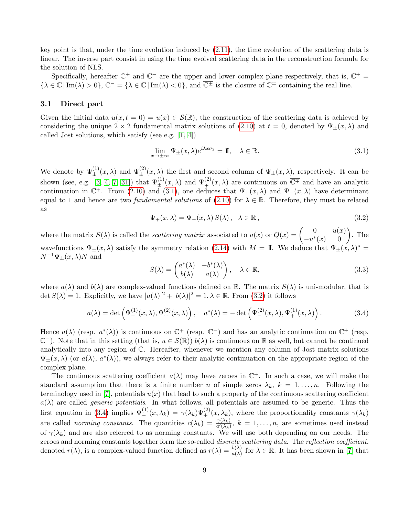key point is that, under the time evolution induced by [\(2.11\)](#page-4-3), the time evolution of the scattering data is linear. The inverse part consist in using the time evolved scattering data in the reconstruction formula for the solution of NLS.

Specifically, hereafter  $\mathbb{C}^+$  and  $\mathbb{C}^-$  are the upper and lower complex plane respectively, that is,  $\mathbb{C}^+$  =  $\{\lambda \in \mathbb{C} \mid \text{Im}(\lambda) > 0\}, \mathbb{C}^- = \{\lambda \in \mathbb{C} \mid \text{Im}(\lambda) < 0\}, \text{ and } \overline{\mathbb{C}^{\pm}} \text{ is the closure of } \mathbb{C}^{\pm} \text{ containing the real line.}$ 

## 3.1 Direct part

Given the initial data  $u(x, t = 0) = u(x) \in \mathcal{S}(\mathbb{R})$ , the construction of the scattering data is achieved by considering the unique  $2 \times 2$  fundamental matrix solutions of [\(2.10\)](#page-4-3) at  $t = 0$ , denoted by  $\Psi_{+}(x, \lambda)$  and called Jost solutions, which satisfy (see e.g. [\[1,](#page-35-4) [4\]](#page-35-8))

<span id="page-8-0"></span>
$$
\lim_{x \to \pm \infty} \Psi_{\pm}(x,\lambda) e^{i\lambda x \sigma_3} = \mathbb{I}, \quad \lambda \in \mathbb{R}.
$$
\n(3.1)

We denote by  $\Psi_{\pm}^{(1)}(x,\lambda)$  and  $\Psi_{\pm}^{(2)}(x,\lambda)$  the first and second column of  $\Psi_{\pm}(x,\lambda)$ , respectively. It can be shown (see, e.g. [\[3,](#page-35-0) [4,](#page-35-8) [7,](#page-35-9) [31\]](#page-37-9)) that  $\Psi_{\pm}^{(1)}(x,\lambda)$  and  $\Psi_{\mp}^{(2)}(x,\lambda)$  are continuous on  $\overline{\mathbb{C}^{\mp}}$  and have an analytic continuation in  $\mathbb{C}^{\mp}$ . From [\(2.10\)](#page-4-3) and [\(3.1\)](#page-8-0), one deduces that  $\Psi_{+}(x,\lambda)$  and  $\Psi_{-}(x,\lambda)$  have determinant equal to 1 and hence are two *fundamental solutions* of  $(2.10)$  for  $\lambda \in \mathbb{R}$ . Therefore, they must be related as

<span id="page-8-1"></span>
$$
\Psi_{+}(x,\lambda) = \Psi_{-}(x,\lambda) S(\lambda), \quad \lambda \in \mathbb{R}, \tag{3.2}
$$

where the matrix  $S(\lambda)$  is called the *scattering matrix* associated to  $u(x)$  or  $Q(x) = \begin{pmatrix} 0 & u(x) \\ -\frac{1}{2}(x) & 0 \end{pmatrix}$  $\begin{pmatrix} 0 & u(x) \\ -u^*(x) & 0 \end{pmatrix}$ . The wavefunctions  $\Psi_{\pm}(x,\lambda)$  satisfy the symmetry relation [\(2.14\)](#page-4-4) with  $M = \mathbb{I}$ . We deduce that  $\Psi_{\pm}(x,\lambda)^* =$  $N^{-1}\Psi_{+}(x,\lambda)N$  and

$$
S(\lambda) = \begin{pmatrix} a^*(\lambda) & -b^*(\lambda) \\ b(\lambda) & a(\lambda) \end{pmatrix}, \quad \lambda \in \mathbb{R},
$$
\n(3.3)

where  $a(\lambda)$  and  $b(\lambda)$  are complex-valued functions defined on R. The matrix  $S(\lambda)$  is uni-modular, that is det  $S(\lambda) = 1$ . Explicitly, we have  $|a(\lambda)|^2 + |b(\lambda)|^2 = 1, \lambda \in \mathbb{R}$ . From [\(3.2\)](#page-8-1) it follows

<span id="page-8-2"></span>
$$
a(\lambda) = \det \left( \Psi_{-}^{(1)}(x,\lambda), \Psi_{+}^{(2)}(x,\lambda) \right), \quad a^*(\lambda) = -\det \left( \Psi_{-}^{(2)}(x,\lambda), \Psi_{+}^{(1)}(x,\lambda) \right). \tag{3.4}
$$

Hence  $a(\lambda)$  (resp.  $a^*(\lambda)$ ) is continuous on  $\overline{\mathbb{C}^+}$  (resp.  $\overline{\mathbb{C}^-}$ ) and has an analytic continuation on  $\mathbb{C}^+$  (resp.  $\mathbb{C}^-$ ). Note that in this setting (that is,  $u \in \mathcal{S}(\mathbb{R})$ )  $b(\lambda)$  is continuous on  $\mathbb R$  as well, but cannot be continued analytically into any region of C. Hereafter, whenever we mention any column of Jost matrix solutions  $\Psi_{\pm}(x,\lambda)$  (or  $a(\lambda), a^*(\lambda)$ ), we always refer to their analytic continuation on the appropriate region of the complex plane.

The continuous scattering coefficient  $a(\lambda)$  may have zeroes in  $\mathbb{C}^+$ . In such a case, we will make the standard assumption that there is a finite number n of simple zeros  $\lambda_k$ ,  $k = 1, \ldots, n$ . Following the terminology used in [\[7\]](#page-35-9), potentials  $u(x)$  that lead to such a property of the continuous scattering coefficient  $a(\lambda)$  are called *generic potentials*. In what follows, all potentials are assumed to be generic. Thus the first equation in [\(3.4\)](#page-8-2) implies  $\Psi_{-}^{(1)}(x,\lambda_k) = \gamma(\lambda_k) \Psi_{+}^{(2)}(x,\lambda_k)$ , where the proportionality constants  $\gamma(\lambda_k)$ are called *norming constants*. The quantities  $c(\lambda_k) = \frac{\gamma(\lambda_k)}{a'(\lambda_k)}$ ,  $k = 1, \ldots, n$ , are sometimes used instead of  $\gamma(\lambda_k)$  and are also referred to as norming constants. We will use both depending on our needs. The zeroes and norming constants together form the so-called discrete scattering data. The reflection coefficient, denoted  $r(\lambda)$ , is a complex-valued function defined as  $r(\lambda) = \frac{b(\lambda)}{a(\lambda)}$  for  $\lambda \in \mathbb{R}$ . It has been shown in [\[7\]](#page-35-9) that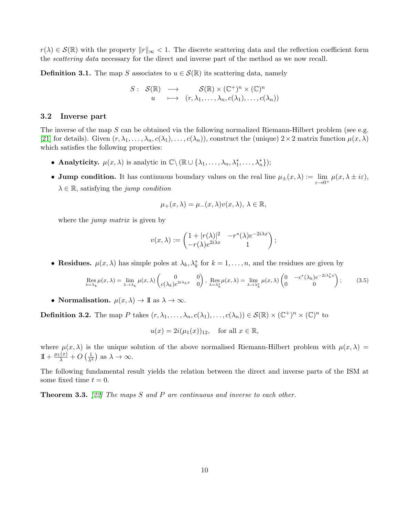$r(\lambda) \in \mathcal{S}(\mathbb{R})$  with the property  $||r||_{\infty} < 1$ . The discrete scattering data and the reflection coefficient form the *scattering data* necessary for the direct and inverse part of the method as we now recall.

**Definition 3.1.** The map S associates to  $u \in \mathcal{S}(\mathbb{R})$  its scattering data, namely

$$
S: S(\mathbb{R}) \longrightarrow S(\mathbb{R}) \times (\mathbb{C}^+)^n \times (\mathbb{C})^n
$$
  
 
$$
u \longmapsto (r, \lambda_1, \dots, \lambda_n, c(\lambda_1), \dots, c(\lambda_n))
$$

## 3.2 Inverse part

The inverse of the map  $S$  can be obtained via the following normalized Riemann-Hilbert problem (see e.g. [\[21\]](#page-36-11) for details). Given  $(r, \lambda_1, \ldots, \lambda_n, c(\lambda_1), \ldots, c(\lambda_n))$ , construct the (unique)  $2 \times 2$  matrix function  $\mu(x, \lambda)$ which satisfies the following properties:

- Analyticity.  $\mu(x, \lambda)$  is analytic in  $\mathbb{C}\setminus (\mathbb{R}\cup \{\lambda_1, \ldots, \lambda_n, \lambda_1^*, \ldots, \lambda_n^*\});$
- Jump condition. It has continuous boundary values on the real line  $\mu_{\pm}(x,\lambda) := \lim_{\varepsilon \to 0^+} \mu(x,\lambda \pm i\varepsilon)$ ,  $\lambda \in \mathbb{R}$ , satisfying the jump condition

$$
\mu_+(x,\lambda) = \mu_-(x,\lambda)v(x,\lambda), \lambda \in \mathbb{R},
$$

where the *jump matrix* is given by

$$
v(x,\lambda) := \begin{pmatrix} 1+|r(\lambda)|^2 & -r^*(\lambda)e^{-2i\lambda x} \\ -r(\lambda)e^{2i\lambda x} & 1 \end{pmatrix};
$$

• Residues.  $\mu(x, \lambda)$  has simple poles at  $\lambda_k, \lambda_k^*$  for  $k = 1, \ldots, n$ , and the residues are given by

$$
\operatorname{Res}_{\lambda=\lambda_k} \mu(x,\lambda) = \lim_{\lambda \to \lambda_k} \mu(x,\lambda) \begin{pmatrix} 0 & 0 \\ c(\lambda_k)e^{2i\lambda_k x} & 0 \end{pmatrix}, \operatorname{Res}_{\lambda=\lambda_k^*} \mu(x,\lambda) = \lim_{\lambda \to \lambda_k^*} \mu(x,\lambda) \begin{pmatrix} 0 & -c^*(\lambda_k)e^{-2i\lambda_k^* x} \\ 0 & 0 \end{pmatrix};
$$
(3.5)

• Normalisation.  $\mu(x, \lambda) \to \mathbb{I}$  as  $\lambda \to \infty$ .

**Definition 3.2.** The map P takes  $(r, \lambda_1, ..., \lambda_n, c(\lambda_1), ..., c(\lambda_n)) \in \mathcal{S}(\mathbb{R}) \times (\mathbb{C}^+)^n \times (\mathbb{C})^n$  to

 $u(x) = 2i(\mu_1(x))_{12}$ , for all  $x \in \mathbb{R}$ ,

where  $\mu(x, \lambda)$  is the unique solution of the above normalised Riemann-Hilbert problem with  $\mu(x, \lambda)$  =  $1 + \frac{\mu_1(x)}{\lambda} + O\left(\frac{1}{\lambda^2}\right)$  as  $\lambda \to \infty$ .

The following fundamental result yields the relation between the direct and inverse parts of the ISM at some fixed time  $t = 0$ .

**Theorem 3.3.** [\[22\]](#page-36-3) The maps S and P are continuous and inverse to each other.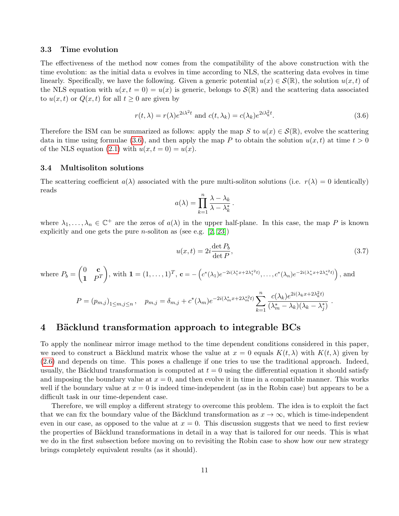## 3.3 Time evolution

The effectiveness of the method now comes from the compatibility of the above construction with the time evolution: as the initial data  $u$  evolves in time according to NLS, the scattering data evolves in time linearly. Specifically, we have the following. Given a generic potential  $u(x) \in \mathcal{S}(\mathbb{R})$ , the solution  $u(x,t)$  of the NLS equation with  $u(x, t = 0) = u(x)$  is generic, belongs to  $\mathcal{S}(\mathbb{R})$  and the scattering data associated to  $u(x, t)$  or  $Q(x, t)$  for all  $t \geq 0$  are given by

<span id="page-10-1"></span>
$$
r(t,\lambda) = r(\lambda)e^{2i\lambda^2t} \text{ and } c(t,\lambda_k) = c(\lambda_k)e^{2i\lambda_k^2t}.
$$
 (3.6)

Therefore the ISM can be summarized as follows: apply the map S to  $u(x) \in S(\mathbb{R})$ , evolve the scattering data in time using formulae [\(3.6\)](#page-10-1), and then apply the map P to obtain the solution  $u(x, t)$  at time  $t > 0$ of the NLS equation [\(2.1\)](#page-3-3) with  $u(x, t = 0) = u(x)$ .

#### <span id="page-10-2"></span>3.4 Multisoliton solutions

The scattering coefficient  $a(\lambda)$  associated with the pure multi-soliton solutions (i.e.  $r(\lambda) = 0$  identically) reads

$$
a(\lambda) = \prod_{k=1}^{n} \frac{\lambda - \lambda_k}{\lambda - \lambda_k^*}
$$

.

where  $\lambda_1,\ldots,\lambda_n\in\mathbb{C}^+$  are the zeros of  $a(\lambda)$  in the upper half-plane. In this case, the map P is known explicitly and one gets the pure *n*-soliton as (see e.g.  $[2, 23]$  $[2, 23]$ )

$$
u(x,t) = 2i \frac{\det P_b}{\det P},
$$
\n(3.7)

where 
$$
P_b = \begin{pmatrix} 0 & \mathbf{c} \\ \mathbf{1} & P^T \end{pmatrix}
$$
, with  $\mathbf{1} = (1, \ldots, 1)^T$ ,  $\mathbf{c} = -\left(c^*(\lambda_1)e^{-2i(\lambda_1^*x + 2\lambda_1^{*2}t)}, \ldots, c^*(\lambda_n)e^{-2i(\lambda_n^*x + 2\lambda_n^{*2}t)}\right)$ , and  
\n
$$
P = (p_{m,j})_{1 \le m,j \le n}, \quad p_{m,j} = \delta_{m,j} + c^*(\lambda_m)e^{-2i(\lambda_m^*x + 2\lambda_m^{*2}t)} \sum_{k=1}^n \frac{c(\lambda_k)e^{2i(\lambda_k x + 2\lambda_k^{*2}t)}}{(\lambda_m^* - \lambda_k)(\lambda_k - \lambda_j^*)}.
$$

## <span id="page-10-0"></span>4 Bäcklund transformation approach to integrable BCs

To apply the nonlinear mirror image method to the time dependent conditions considered in this paper, we need to construct a Bäcklund matrix whose the value at  $x = 0$  equals  $K(t, \lambda)$  with  $K(t, \lambda)$  given by [\(2.6\)](#page-4-1) and depends on time. This poses a challenge if one tries to use the traditional approach. Indeed, usually, the Bäcklund transformation is computed at  $t = 0$  using the differential equation it should satisfy and imposing the boundary value at  $x = 0$ , and then evolve it in time in a compatible manner. This works well if the boundary value at  $x = 0$  is indeed time-independent (as in the Robin case) but appears to be a difficult task in our time-dependent case.

Therefore, we will employ a different strategy to overcome this problem. The idea is to exploit the fact that we can fix the boundary value of the Bäcklund transformation as  $x \to \infty$ , which is time-independent even in our case, as opposed to the value at  $x = 0$ . This discussion suggests that we need to first review the properties of Bäcklund transformations in detail in a way that is tailored for our needs. This is what we do in the first subsection before moving on to revisiting the Robin case to show how our new strategy brings completely equivalent results (as it should).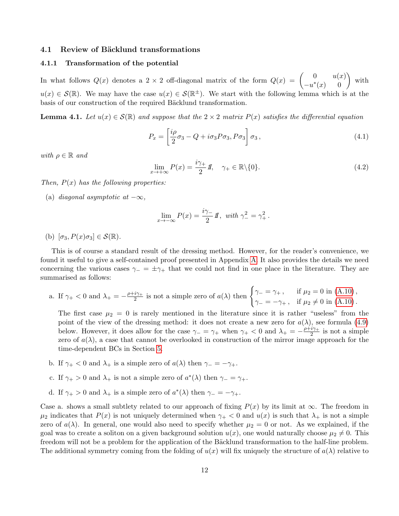### 4.1 Review of Bäcklund transformations

#### 4.1.1 Transformation of the potential

In what follows  $Q(x)$  denotes a 2 × 2 off-diagonal matrix of the form  $Q(x) = \begin{pmatrix} 0 & u(x) \\ -\frac{1}{x(x)} & 0 \end{pmatrix}$  $\begin{pmatrix} 0 & u(x) \\ -u^*(x) & 0 \end{pmatrix}$  with  $u(x) \in \mathcal{S}(\mathbb{R})$ . We may have the case  $u(x) \in \mathcal{S}(\mathbb{R}^{\pm})$ . We start with the following lemma which is at the basis of our construction of the required Bäcklund transformation.

<span id="page-11-2"></span>**Lemma 4.1.** Let  $u(x) \in \mathcal{S}(\mathbb{R})$  and suppose that the  $2 \times 2$  matrix  $P(x)$  satisfies the differential equation

<span id="page-11-0"></span>
$$
P_x = \left[\frac{i\rho}{2}\sigma_3 - Q + i\sigma_3 P \sigma_3, P \sigma_3\right] \sigma_3, \qquad (4.1)
$$

with  $\rho \in \mathbb{R}$  and

<span id="page-11-1"></span>
$$
\lim_{x \to +\infty} P(x) = \frac{i\gamma_+}{2} I\!\!I, \quad \gamma_+ \in \mathbb{R} \setminus \{0\}. \tag{4.2}
$$

Then,  $P(x)$  has the following properties:

(a) diagonal asymptotic at  $-\infty$ ,

$$
\lim_{x \to -\infty} P(x) = \frac{i\gamma_-}{2} I\!\!I, \text{ with } \gamma_-^2 = \gamma_+^2.
$$

(b)  $[\sigma_3, P(x)\sigma_3] \in \mathcal{S}(\mathbb{R})$ .

This is of course a standard result of the dressing method. However, for the reader's convenience, we found it useful to give a self-contained proof presented in Appendix [A.](#page-29-0) It also provides the details we need concerning the various cases  $\gamma_-=\pm\gamma_+$  that we could not find in one place in the literature. They are summarised as follows:

a. If  $\gamma_+ < 0$  and  $\lambda_+ = -\frac{\rho + i\gamma_+}{2}$  $\frac{i\gamma_+}{2}$  is not a simple zero of  $a(\lambda)$  then  $\begin{cases} \gamma_- = \gamma_+ , & \text{if } \mu_2 = 0 \text{ in (A.10)}, \\ \gamma_- = \gamma_+ , & \text{if } \mu_2 \neq 0 \text{ in (A.10)} \end{cases}$  $\begin{cases} \gamma_- = \gamma_+ , & \text{if } \mu_2 = 0 \text{ in (A.10)}, \\ \gamma_- = \gamma_+ , & \text{if } \mu_2 \neq 0 \text{ in (A.10)} \end{cases}$  $\begin{cases} \gamma_- = \gamma_+ , & \text{if } \mu_2 = 0 \text{ in (A.10)}, \\ \gamma_- = \gamma_+ , & \text{if } \mu_2 \neq 0 \text{ in (A.10)} \end{cases}$  $\gamma_{-} = -\gamma_{+}$ , if  $\mu_{2} \neq 0$  in [\(A.10\)](#page-30-0).

The first case  $\mu_2 = 0$  is rarely mentioned in the literature since it is rather "useless" from the point of the view of the dressing method: it does not create a new zero for  $a(\lambda)$ , see formula [\(4.9\)](#page-13-0) below. However, it does allow for the case  $\gamma = \gamma_+$  when  $\gamma_+ < 0$  and  $\lambda_+ = -\frac{\rho + i\gamma_+}{2}$  $\frac{i\gamma_+}{2}$  is not a simple zero of  $a(\lambda)$ , a case that cannot be overlooked in construction of the mirror image approach for the time-dependent BCs in Section [5.](#page-18-0)

- b. If  $\gamma_+ < 0$  and  $\lambda_+$  is a simple zero of  $a(\lambda)$  then  $\gamma_- = -\gamma_+$ .
- c. If  $\gamma_+ > 0$  and  $\lambda_+$  is not a simple zero of  $a^*(\lambda)$  then  $\gamma_- = \gamma_+$ .
- d. If  $\gamma_+ > 0$  and  $\lambda_+$  is a simple zero of  $a^*(\lambda)$  then  $\gamma_- = -\gamma_+$ .

Case a. shows a small subtlety related to our approach of fixing  $P(x)$  by its limit at  $\infty$ . The freedom in  $\mu_2$  indicates that  $P(x)$  is not uniquely determined when  $\gamma_+ < 0$  and  $u(x)$  is such that  $\lambda_+$  is not a simple zero of  $a(\lambda)$ . In general, one would also need to specify whether  $\mu_2 = 0$  or not. As we explained, if the goal was to create a soliton on a given background solution  $u(x)$ , one would naturally choose  $\mu_2 \neq 0$ . This freedom will not be a problem for the application of the Bäcklund transformation to the half-line problem. The additional symmetry coming from the folding of  $u(x)$  will fix uniquely the structure of  $a(\lambda)$  relative to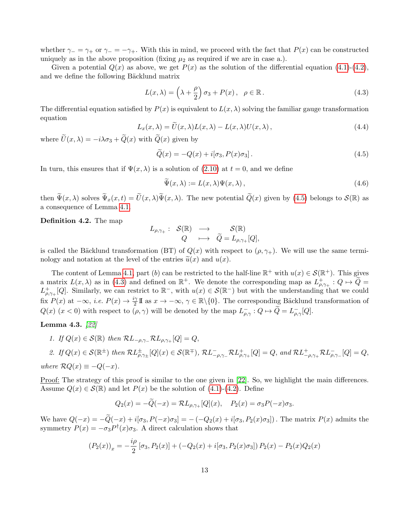whether  $\gamma = \gamma_+$  or  $\gamma = -\gamma_+$ . With this in mind, we proceed with the fact that  $P(x)$  can be constructed uniquely as in the above proposition (fixing  $\mu_2$  as required if we are in case a.).

Given a potential  $Q(x)$  as above, we get  $P(x)$  as the solution of the differential equation [\(4.1\)](#page-11-0)-[\(4.2\)](#page-11-1), and we define the following Bäcklund matrix

<span id="page-12-1"></span>
$$
L(x,\lambda) = \left(\lambda + \frac{\rho}{2}\right)\sigma_3 + P(x), \quad \rho \in \mathbb{R}.
$$
 (4.3)

The differential equation satisfied by  $P(x)$  is equivalent to  $L(x, \lambda)$  solving the familiar gauge transformation equation

<span id="page-12-2"></span>
$$
L_x(x,\lambda) = U(x,\lambda)L(x,\lambda) - L(x,\lambda)U(x,\lambda),
$$
\n(4.4)

where  $\widetilde{U}(x, \lambda) = -i\lambda \sigma_3 + \widetilde{Q}(x)$  with  $\widetilde{Q}(x)$  given by

<span id="page-12-0"></span>
$$
\tilde{Q}(x) = -Q(x) + i[\sigma_3, P(x)\sigma_3].
$$
\n(4.5)

In turn, this ensures that if  $\Psi(x, \lambda)$  is a solution of [\(2.10\)](#page-4-3) at  $t = 0$ , and we define

<span id="page-12-4"></span>
$$
\tilde{\Psi}(x,\lambda) := L(x,\lambda)\Psi(x,\lambda),\tag{4.6}
$$

then  $\widetilde{\Psi}(x,\lambda)$  solves  $\widetilde{\Psi}_x(x,t) = \widetilde{U}(x,\lambda)\widetilde{\Psi}(x,\lambda)$ . The new potential  $\widetilde{Q}(x)$  given by [\(4.5\)](#page-12-0) belongs to  $\mathcal{S}(\mathbb{R})$  as a consequence of Lemma [4.1.](#page-11-2)

<span id="page-12-3"></span>Definition 4.2. The map

$$
L_{\rho,\gamma_+}: \begin{array}{ccc} \mathcal{S}(\mathbb{R}) & \longrightarrow & \mathcal{S}(\mathbb{R}) \\ Q & \longmapsto & \widetilde{Q}=L_{\rho,\gamma_+}[Q], \end{array}
$$

is called the Bäcklund transformation (BT) of  $Q(x)$  with respect to  $(\rho, \gamma_+)$ . We will use the same terminology and notation at the level of the entries  $\tilde{u}(x)$  and  $u(x)$ .

The content of Lemma [4.1,](#page-11-2) part (b) can be restricted to the half-line  $\mathbb{R}^+$  with  $u(x) \in \mathcal{S}(\mathbb{R}^+)$ . This gives a matrix  $L(x, \lambda)$  as in [\(4.3\)](#page-12-1) and defined on  $\mathbb{R}^+$ . We denote the corresponding map as  $L^+_{\rho, \gamma_+} : Q \mapsto \widetilde{Q} =$  $L^+_{\rho,\gamma+}[Q]$ . Similarly, we can restrict to  $\mathbb{R}^-$ , with  $u(x) \in \mathcal{S}(\mathbb{R}^-)$  but with the understanding that we could fix  $P(x)$  at  $-\infty$ , *i.e.*  $P(x) \to \frac{i\gamma}{2} \mathbb{I}$  as  $x \to -\infty$ ,  $\gamma \in \mathbb{R} \setminus \{0\}$ . The corresponding Bäcklund transformation of  $Q(x)$   $(x < 0)$  with respect to  $(\rho, \gamma)$  will be denoted by the map  $L^{-}_{\rho,\gamma}: Q \mapsto \widetilde{Q} = L^{-}_{\rho,\gamma}[Q]$ .

<span id="page-12-5"></span>Lemma 4.3. [\[22\]](#page-36-3)

1. If 
$$
Q(x) \in \mathcal{S}(\mathbb{R})
$$
 then  $\mathcal{R}L_{-\rho,\gamma_-} \mathcal{R}L_{\rho,\gamma_+}[Q] = Q$ ,

2. If 
$$
Q(x) \in \mathcal{S}(\mathbb{R}^{\pm})
$$
 then  $\mathcal{R}L_{\rho,\gamma_{\pm}}^{\pm}[Q](x) \in \mathcal{S}(\mathbb{R}^{\mp})$ ,  $\mathcal{R}L_{-\rho,\gamma_{-}}^{-}\mathcal{R}L_{\rho,\gamma_{+}}^{+}[Q] = Q$ , and  $\mathcal{R}L_{-\rho,\gamma_{+}}^{+}\mathcal{R}L_{\rho,\gamma_{-}}^{-}[Q] = Q$ ,  
where  $\mathcal{R}Q(x) \equiv -Q(-x)$ .

Proof: The strategy of this proof is similar to the one given in [\[22\]](#page-36-3). So, we highlight the main differences. Assume  $Q(x) \in \mathcal{S}(\mathbb{R})$  and let  $P(x)$  be the solution of [\(4.1\)](#page-11-0)-[\(4.2\)](#page-11-1). Define

$$
Q_2(x) = -\tilde{Q}(-x) = \mathcal{R}L_{\rho,\gamma+}[Q](x), \quad P_2(x) = \sigma_3 P(-x)\sigma_3.
$$

We have  $Q(-x) = -\tilde{Q}(-x) + i[\sigma_3, P(-x)\sigma_3] = -(-Q_2(x) + i[\sigma_3, P_2(x)\sigma_3])$ . The matrix  $P(x)$  admits the symmetry  $P(x) = -\sigma_3 P^{\dagger}(x)\sigma_3$ . A direct calculation shows that

$$
(P_2(x))_x = -\frac{i\rho}{2} [\sigma_3, P_2(x)] + (-Q_2(x) + i[\sigma_3, P_2(x)\sigma_3]) P_2(x) - P_2(x)Q_2(x)
$$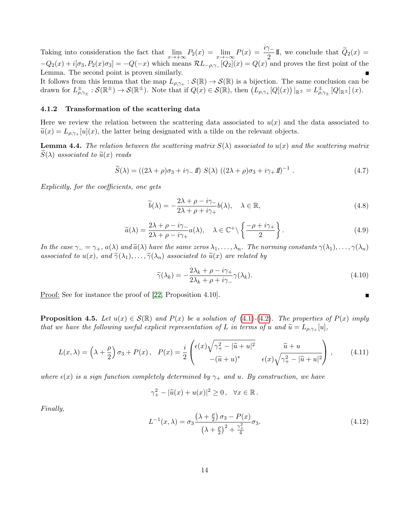Taking into consideration the fact that  $\lim_{x\to+\infty} P_2(x) = \lim_{x\to-\infty} P(x) = \frac{i\gamma_-}{2}1$ , we conclude that  $\widetilde{Q}_2(x) =$  $-Q_2(x) + i[\sigma_3, P_2(x)\sigma_3] = -Q(-x)$  which means  $\mathcal{R}L_{-\rho,\gamma-}[Q_2](x) = Q(x)$  and proves the first point of the Lemma. The second point is proven similarly.

It follows from this lemma that the map  $L_{\rho,\gamma_+}: \mathcal{S}(\mathbb{R}) \to \mathcal{S}(\mathbb{R})$  is a bijection. The same conclusion can be drawn for  $L^{\pm}_{\rho,\gamma_{\pm}}:\mathcal{S}(\mathbb{R}^{\pm})\to\mathcal{S}(\mathbb{R}^{\pm})$ . Note that if  $Q(x)\in\mathcal{S}(\mathbb{R})$ , then  $(L_{\rho,\gamma_{+}}[Q](x))|_{\mathbb{R}^{\pm}}=L^{\pm}_{\rho,\gamma_{\pm}}[Q|_{\mathbb{R}^{\pm}}](x)$ .

#### 4.1.2 Transformation of the scattering data

Here we review the relation between the scattering data associated to  $u(x)$  and the data associated to  $\tilde{u}(x) = L_{\rho,\gamma+}[u](x)$ , the latter being designated with a tilde on the relevant objects.

**Lemma 4.4.** The relation between the scattering matrix  $S(\lambda)$  associated to  $u(x)$  and the scattering matrix  $S(\lambda)$  associated to  $\tilde{u}(x)$  reads

<span id="page-13-3"></span>
$$
\widetilde{S}(\lambda) = ((2\lambda + \rho)\sigma_3 + i\gamma_-\mathit{1}) S(\lambda) ((2\lambda + \rho)\sigma_3 + i\gamma_+\mathit{1})^{-1} . \tag{4.7}
$$

Explicitly, for the coefficients, one gets

<span id="page-13-2"></span>
$$
\widetilde{b}(\lambda) = -\frac{2\lambda + \rho - i\gamma}{2\lambda + \rho + i\gamma_+} b(\lambda), \quad \lambda \in \mathbb{R},
$$
\n(4.8)

<span id="page-13-0"></span>
$$
\widetilde{a}(\lambda) = \frac{2\lambda + \rho - i\gamma}{2\lambda + \rho - i\gamma_+} a(\lambda), \quad \lambda \in \mathbb{C}^+ \setminus \left\{ \frac{-\rho + i\gamma_+}{2} \right\}.
$$
\n(4.9)

In the case  $\gamma = \gamma_+, a(\lambda)$  and  $\tilde{a}(\lambda)$  have the same zeros  $\lambda_1, \ldots, \lambda_n$ . The norming constants  $\gamma(\lambda_1), \ldots, \gamma(\lambda_n)$ associated to  $u(x)$ , and  $\widetilde{\gamma}(\lambda_1), \ldots, \widetilde{\gamma}(\lambda_n)$  associated to  $\widetilde{u}(x)$  are related by

$$
\widetilde{\gamma}(\lambda_k) = -\frac{2\lambda_k + \rho - i\gamma_+}{2\lambda_k + \rho + i\gamma_-}\gamma(\lambda_k). \tag{4.10}
$$

 $\blacksquare$ 

Proof: See for instance the proof of [\[22,](#page-36-3) Proposition 4.10].

<span id="page-13-4"></span>**Proposition 4.5.** Let  $u(x) \in \mathcal{S}(\mathbb{R})$  and  $P(x)$  be a solution of [\(4.1\)](#page-11-0)-[\(4.2\)](#page-11-1). The properties of  $P(x)$  imply that we have the following useful explicit representation of L in terms of u and  $\tilde{u} = L_{\rho,\gamma_+}[u],$ 

$$
L(x,\lambda) = \left(\lambda + \frac{\rho}{2}\right)\sigma_3 + P(x), \quad P(x) = \frac{i}{2}\begin{pmatrix} \epsilon(x)\sqrt{\gamma_+^2 - |\widetilde{u} + u|^2} & \widetilde{u} + u\\ -(\widetilde{u} + u)^* & \epsilon(x)\sqrt{\gamma_+^2 - |\widetilde{u} + u|^2} \end{pmatrix},\tag{4.11}
$$

where  $\epsilon(x)$  is a sign function completely determined by  $\gamma_+$  and u. By construction, we have

$$
\gamma_+^2 - |\widetilde{u}(x) + u(x)|^2 \ge 0, \quad \forall x \in \mathbb{R}.
$$

Finally,

<span id="page-13-1"></span>
$$
L^{-1}(x,\lambda) = \sigma_3 \frac{(\lambda + \frac{\rho}{2}) \sigma_3 - P(x)}{(\lambda + \frac{\rho}{2})^2 + \frac{\gamma_+^2}{4}} \sigma_3.
$$
 (4.12)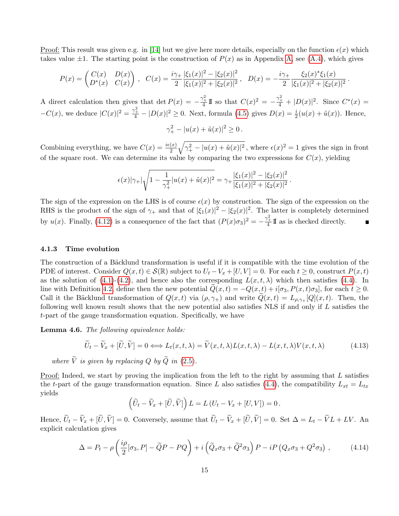Proof: This result was given e.g. in [\[14\]](#page-36-10) but we give here more details, especially on the function  $\epsilon(x)$  which takes value  $\pm 1$ . The starting point is the construction of  $P(x)$  as in Appendix [A,](#page-29-0) see [\(A.4\)](#page-30-1), which gives

$$
P(x) = \begin{pmatrix} C(x) & D(x) \\ D^*(x) & C(x) \end{pmatrix}, \quad C(x) = \frac{i\gamma_+}{2} \frac{|\xi_1(x)|^2 - |\xi_2(x)|^2}{|\xi_1(x)|^2 + |\xi_2(x)|^2}, \quad D(x) = -\frac{i\gamma_+}{2} \frac{\xi_2(x)^*\xi_1(x)}{|\xi_1(x)|^2 + |\xi_2(x)|^2}
$$

.

A direct calculation then gives that det  $P(x) = -\frac{\gamma_+^2}{4} \mathbb{I}$  so that  $C(x)^2 = -\frac{\gamma_+^2}{4} + |D(x)|^2$ . Since  $C^*(x) =$  $-C(x)$ , we deduce  $|C(x)|^2 = \frac{\gamma_+^2}{4} - |D(x)|^2 \ge 0$ . Next, formula [\(4.5\)](#page-12-0) gives  $D(x) = \frac{i}{2}(u(x) + \tilde{u}(x))$ . Hence,

$$
\gamma_+^2 - |u(x) + \tilde{u}(x)|^2 \ge 0 \, .
$$

Combining everything, we have  $C(x) = \frac{i\epsilon(x)}{2}\sqrt{\gamma_+^2 - |u(x) + \tilde{u}(x)|^2}$ , where  $\epsilon(x)^2 = 1$  gives the sign in front of the square root. We can determine its value by comparing the two expressions for  $C(x)$ , yielding

$$
\epsilon(x)|\gamma_+|\sqrt{1-\frac{1}{\gamma_+^2}|u(x)+\tilde{u}(x)|^2}=\gamma_+\frac{|\xi_1(x)|^2-|\xi_2(x)|^2}{|\xi_1(x)|^2+|\xi_2(x)|^2}.
$$

The sign of the expression on the LHS is of course  $\epsilon(x)$  by construction. The sign of the expression on the RHS is the product of the sign of  $\gamma_+$  and that of  $|\xi_1(x)|^2 - |\xi_2(x)|^2$ . The latter is completely determined by  $u(x)$ . Finally, [\(4.12\)](#page-13-1) is a consequence of the fact that  $(P(x)\sigma_3)^2 = -\frac{\gamma_+^2}{4} \mathbb{I}$  as is checked directly.

#### 4.1.3 Time evolution

The construction of a Bäcklund transformation is useful if it is compatible with the time evolution of the PDE of interest. Consider  $Q(x, t) \in \mathcal{S}(\mathbb{R})$  subject to  $U_t - V_x + [U, V] = 0$ . For each  $t \geq 0$ , construct  $P(x, t)$ as the solution of [\(4.1\)](#page-11-0)-[\(4.2\)](#page-11-1), and hence also the corresponding  $L(x, t, \lambda)$  which then satisfies [\(4.4\)](#page-12-2). In line with Definition [4.2,](#page-12-3) define then the new potential  $Q(x,t) = -Q(x,t) + i[\sigma_3, P(x,t)\sigma_3]$ , for each  $t \ge 0$ . Call it the Bäcklund transformation of  $Q(x,t)$  via  $(\rho, \gamma)$  and write  $Q(x,t) = L_{\rho,\gamma} [Q](x,t)$ . Then, the following well known result shows that the new potential also satisfies NLS if and only if L satisfies the t-part of the gauge transformation equation. Specifically, we have

<span id="page-14-1"></span>Lemma 4.6. The following equivalence holds:

$$
\widetilde{U}_t - \widetilde{V}_x + [\widetilde{U}, \widetilde{V}] = 0 \Longleftrightarrow L_t(x, t, \lambda) = \widetilde{V}(x, t, \lambda)L(x, t, \lambda) - L(x, t, \lambda)V(x, t, \lambda)
$$
\n(4.13)

where  $\tilde{V}$  is given by replacing Q by  $\tilde{Q}$  in [\(2.5\)](#page-4-1).

Proof: Indeed, we start by proving the implication from the left to the right by assuming that L satisfies the t-part of the gauge transformation equation. Since L also satisfies [\(4.4\)](#page-12-2), the compatibility  $L_{xt} = L_{tx}$ yields

$$
\left(\widetilde{U}_t - \widetilde{V}_x + [\widetilde{U}, \widetilde{V}]\right) L = L\left(U_t - V_x + [U, V]\right) = 0.
$$

Hence,  $\widetilde{U}_t - \widetilde{V}_x + [\widetilde{U}, \widetilde{V}] = 0$ . Conversely, assume that  $\widetilde{U}_t - \widetilde{V}_x + [\widetilde{U}, \widetilde{V}] = 0$ . Set  $\Delta = L_t - \widetilde{V}L + LV$ . An explicit calculation gives

<span id="page-14-0"></span>
$$
\Delta = P_t - \rho \left( \frac{i \rho}{2} [\sigma_3, P] - \tilde{Q} P - P Q \right) + i \left( \tilde{Q}_x \sigma_3 + \tilde{Q}^2 \sigma_3 \right) P - i P \left( Q_x \sigma_3 + Q^2 \sigma_3 \right) ,\tag{4.14}
$$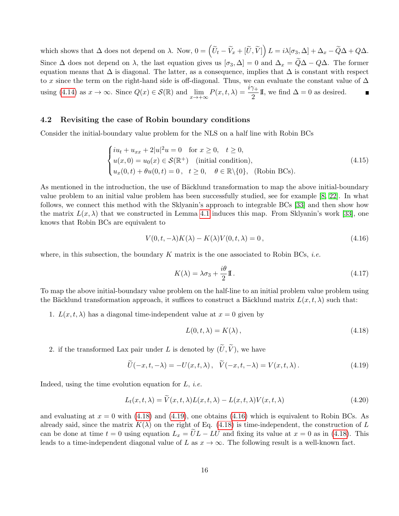which shows that  $\Delta$  does not depend on  $\lambda$ . Now,  $0 = \left(\widetilde{U}_t - \widetilde{V}_x + [\widetilde{U}, \widetilde{V}]\right) L = i\lambda[\sigma_3, \Delta] + \Delta_x - \widetilde{Q}\Delta + Q\Delta$ . Since  $\Delta$  does not depend on  $\lambda$ , the last equation gives us  $[\sigma_3, \Delta] = 0$  and  $\Delta_x = \widetilde{Q}\Delta - Q\Delta$ . The former equation means that  $\Delta$  is diagonal. The latter, as a consequence, implies that  $\Delta$  is constant with respect to x since the term on the right-hand side is off-diagonal. Thus, we can evaluate the constant value of  $\Delta$ using [\(4.14\)](#page-14-0) as  $x \to \infty$ . Since  $Q(x) \in \mathcal{S}(\mathbb{R})$  and  $\lim_{x \to +\infty} P(x, t, \lambda) = \frac{i\gamma_+}{2}I\!\!I$ , we find  $\Delta = 0$  as desired.

### 4.2 Revisiting the case of Robin boundary conditions

Consider the initial-boundary value problem for the NLS on a half line with Robin BCs

<span id="page-15-4"></span>
$$
\begin{cases}\ni u_t + u_{xx} + 2|u|^2 u = 0 & \text{for } x \ge 0, \quad t \ge 0, \\
u(x, 0) = u_0(x) \in \mathcal{S}(\mathbb{R}^+) & \text{(initial condition)}, \\
u_x(0, t) + \theta u(0, t) = 0, \quad t \ge 0, \quad \theta \in \mathbb{R} \setminus \{0\}, \quad \text{(Robin BCs)}.\n\end{cases}
$$
\n
$$
(4.15)
$$

As mentioned in the introduction, the use of Bäcklund transformation to map the above initial-boundary value problem to an initial value problem has been successfully studied, see for example [\[8,](#page-35-1) [22\]](#page-36-3). In what follows, we connect this method with the Sklyanin's approach to integrable BCs [\[33\]](#page-37-0) and then show how the matrix  $L(x, \lambda)$  that we constructed in Lemma [4.1](#page-11-2) induces this map. From Sklyanin's work [\[33\]](#page-37-0), one knows that Robin BCs are equivalent to

<span id="page-15-3"></span>
$$
V(0, t, -\lambda)K(\lambda) - K(\lambda)V(0, t, \lambda) = 0, \qquad (4.16)
$$

where, in this subsection, the boundary K matrix is the one associated to Robin BCs, *i.e.* 

<span id="page-15-0"></span>
$$
K(\lambda) = \lambda \sigma_3 + \frac{i\theta}{2} \mathbb{I} \,. \tag{4.17}
$$

To map the above initial-boundary value problem on the half-line to an initial problem value problem using the Bäcklund transformation approach, it suffices to construct a Bäcklund matrix  $L(x, t, \lambda)$  such that:

1.  $L(x, t, \lambda)$  has a diagonal time-independent value at  $x = 0$  given by

<span id="page-15-1"></span>
$$
L(0, t, \lambda) = K(\lambda), \qquad (4.18)
$$

2. if the transformed Lax pair under L is denoted by  $(\widetilde{U}, \widetilde{V})$ , we have

<span id="page-15-2"></span>
$$
\widetilde{U}(-x,t,-\lambda) = -U(x,t,\lambda), \quad \widetilde{V}(-x,t,-\lambda) = V(x,t,\lambda). \tag{4.19}
$$

Indeed, using the time evolution equation for  $L$ , *i.e.* 

$$
L_t(x, t, \lambda) = \widetilde{V}(x, t, \lambda) L(x, t, \lambda) - L(x, t, \lambda) V(x, t, \lambda)
$$
\n(4.20)

and evaluating at  $x = 0$  with [\(4.18\)](#page-15-1) and [\(4.19\)](#page-15-2), one obtains [\(4.16\)](#page-15-3) which is equivalent to Robin BCs. As already said, since the matrix  $K(\lambda)$  on the right of Eq. [\(4.18\)](#page-15-1) is time-independent, the construction of L can be done at time  $t = 0$  using equation  $L_x = UL - LU$  and fixing its value at  $x = 0$  as in [\(4.18\)](#page-15-1). This leads to a time-independent diagonal value of L as  $x \to \infty$ . The following result is a well-known fact.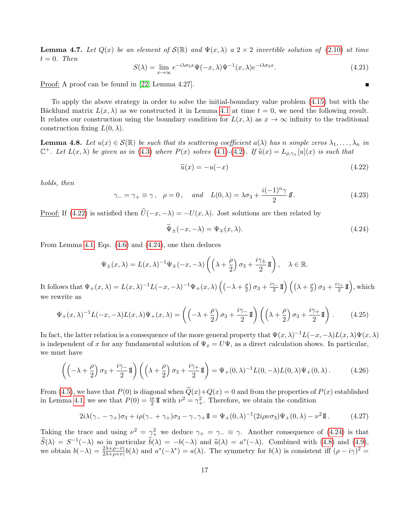**Lemma 4.7.** Let  $Q(x)$  be an element of  $S(\mathbb{R})$  and  $\Psi(x,\lambda)$  a  $2 \times 2$  invertible solution of [\(2.10\)](#page-4-3) at time  $t = 0$ . Then

$$
S(\lambda) = \lim_{x \to \infty} e^{-i\lambda \sigma_3 x} \Psi(-x, \lambda) \Psi^{-1}(x, \lambda) e^{-i\lambda \sigma_3 x}.
$$
 (4.21)

Proof: A proof can be found in [\[22,](#page-36-3) Lemma 4.27].

To apply the above strategy in order to solve the initial-boundary value problem [\(4.15\)](#page-15-4) but with the Bäcklund matrix  $L(x, \lambda)$  as we constructed it in Lemma [4.1](#page-11-2) at time  $t = 0$ , we need the following result. It relates our construction using the boundary condition for  $L(x, \lambda)$  as  $x \to \infty$  infinity to the traditional construction fixing  $L(0, \lambda)$ .

<span id="page-16-2"></span>**Lemma 4.8.** Let  $u(x) \in \mathcal{S}(\mathbb{R})$  be such that its scattering coefficient  $a(\lambda)$  has n simple zeros  $\lambda_1, \ldots, \lambda_n$  in  $\mathbb{C}^+$ . Let  $L(x,\lambda)$  be given as in [\(4.3\)](#page-12-1) where  $P(x)$  solves [\(4.1\)](#page-11-0)-[\(4.2\)](#page-11-1). If  $\widetilde{u}(x) = L_{\rho,\gamma_+}[u](x)$  is such that

<span id="page-16-0"></span>
$$
\widetilde{u}(x) = -u(-x) \tag{4.22}
$$

holds, then

$$
\gamma_{-} = \gamma_{+} \equiv \gamma, \quad \rho = 0, \quad \text{and} \quad L(0, \lambda) = \lambda \sigma_3 + \frac{i(-1)^n \gamma}{2} I\!\!I.
$$
\n(4.23)

Proof: If [\(4.22\)](#page-16-0) is satisfied then  $\tilde{U}(-x, -\lambda) = -U(x, \lambda)$ . Jost solutions are then related by

<span id="page-16-1"></span>
$$
\widetilde{\Psi}_{\pm}(-x,-\lambda) = \Psi_{\mp}(x,\lambda). \tag{4.24}
$$

From Lemma [4.1,](#page-11-2) Eqs. [\(4.6\)](#page-12-4) and [\(4.24\)](#page-16-1), one then deduces

$$
\Psi_{\pm}(x,\lambda) = L(x,\lambda)^{-1} \Psi_{\mp}(-x,-\lambda) \left( \left( \lambda + \frac{\rho}{2} \right) \sigma_3 + \frac{i\gamma_{\pm}}{2} \mathbb{I} \right), \quad \lambda \in \mathbb{R}.
$$

It follows that  $\Psi_+(x,\lambda) = L(x,\lambda)^{-1}L(-x,-\lambda)^{-1}\Psi_+(x,\lambda)\left((-\lambda+\frac{\rho}{2})\right)$  $\frac{\rho}{2}$ )  $\sigma_3 + \frac{i\gamma_-}{2}$  $\frac{\gamma_-}{2}1\!\mathrm{l}\Bigr) \, \Bigl( \bigl( \lambda + \tfrac{\rho}{2}$  $\frac{\rho}{2}$ )  $\sigma_3 + \frac{i\gamma_+}{2}$  $\binom{\gamma_+}{2}$   $\prod$ ), which we rewrite as

$$
\Psi_{+}(x,\lambda)^{-1}L(-x,-\lambda)L(x,\lambda)\Psi_{+}(x,\lambda) = \left(\left(-\lambda + \frac{\rho}{2}\right)\sigma_{3} + \frac{i\gamma_{-}}{2}\mathbb{I}\right)\left(\left(\lambda + \frac{\rho}{2}\right)\sigma_{3} + \frac{i\gamma_{+}}{2}\mathbb{I}\right). \tag{4.25}
$$

In fact, the latter relation is a consequence of the more general property that  $\Psi(x,\lambda)^{-1}L(-x,-\lambda)L(x,\lambda)\Psi(x,\lambda)$ is independent of x for any fundamental solution of  $\Psi_x = U\Psi$ , as a direct calculation shows. In particular, we must have

$$
\left( \left( -\lambda + \frac{\rho}{2} \right) \sigma_3 + \frac{i\gamma}{2} \mathbb{I} \right) \left( \left( \lambda + \frac{\rho}{2} \right) \sigma_3 + \frac{i\gamma}{2} \mathbb{I} \right) = \Psi_+(0, \lambda)^{-1} L(0, -\lambda) L(0, \lambda) \Psi_+(0, \lambda).
$$
 (4.26)

From [\(4.5\)](#page-12-0), we have that  $P(0)$  is diagonal when  $\tilde{Q}(x)+Q(x) = 0$  and from the properties of  $P(x)$  established in Lemma [4.1,](#page-11-2) we see that  $P(0) = \frac{i\nu}{2} \mathbb{I}$  with  $\nu^2 = \gamma_+^2$ . Therefore, we obtain the condition

$$
2i\lambda(\gamma_{-} - \gamma_{+})\sigma_{3} + i\rho(\gamma_{-} + \gamma_{+})\sigma_{3} - \gamma_{-}\gamma_{+}\mathbb{I} = \Psi_{+}(0,\lambda)^{-1}(2i\rho\nu\sigma_{3})\Psi_{+}(0,\lambda) - \nu^{2}\mathbb{I}. \tag{4.27}
$$

Taking the trace and using  $\nu^2 = \gamma_+^2$  we deduce  $\gamma_+ = \gamma_- \equiv \gamma$ . Another consequence of [\(4.24\)](#page-16-1) is that  $\widetilde{S}(\lambda) = S^{-1}(-\lambda)$  so in particular  $\widetilde{b}(\lambda) = -b(-\lambda)$  and  $\widetilde{a}(\lambda) = a^*(-\lambda)$ . Combined with [\(4.8\)](#page-13-2) and [\(4.9\)](#page-13-0),<br>we obtain  $b(-\lambda) = {}^{2\lambda+\rho-i\gamma}b(\lambda)$  and  $a^*(-\lambda) = a(\lambda)$ . The symmetry for  $b(\lambda)$  is consistent iff (a  $-ia^2 =$ we obtain  $b(-\lambda) = \frac{2\lambda + \rho - i\gamma}{2\lambda + \rho + i\gamma} b(\lambda)$  and  $a^*(-\lambda^*) = a(\lambda)$ . The symmetry for  $b(\lambda)$  is consistent iff  $(\rho - i\gamma)^2 =$ 

 $\blacksquare$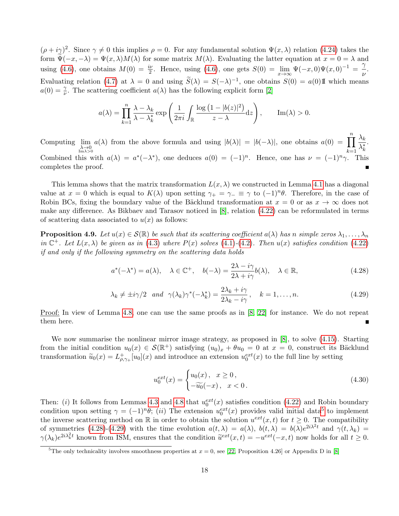$(\rho + i\gamma)^2$ . Since  $\gamma \neq 0$  this implies  $\rho = 0$ . For any fundamental solution  $\Psi(x, \lambda)$  relation [\(4.24\)](#page-16-1) takes the form  $\widetilde{\Psi}(-x,-\lambda) = \Psi(x,\lambda)M(\lambda)$  for some matrix  $M(\lambda)$ . Evaluating the latter equation at  $x = 0 = \lambda$  and using [\(4.6\)](#page-12-4), one obtains  $M(0) = \frac{i\nu}{2}$ . Hence, using (4.6), one gets  $S(0) = \lim_{x\to\infty} \Psi(-x,0)\Psi(x,0)^{-1} = \frac{\gamma}{\nu}$  $\frac{1}{\nu}$ . Evaluating relation [\(4.7\)](#page-13-3) at  $\lambda = 0$  and using  $\widetilde{S}(\lambda) = S(-\lambda)^{-1}$ , one obtains  $S(0) = a(0)$  If which means  $a(0) = \frac{\gamma}{\nu}$ . The scattering coefficient  $a(\lambda)$  has the following explicit form [\[2\]](#page-35-10)

$$
a(\lambda) = \prod_{k=1}^{n} \frac{\lambda - \lambda_k}{\lambda - \lambda_k^*} \exp\left(\frac{1}{2\pi i} \int_{\mathbb{R}} \frac{\log(1 - |b(z)|^2)}{z - \lambda} dz\right), \quad \text{Im}(\lambda) > 0.
$$

Computing  $\lim_{\substack{\lambda \to 0 \\ \text{Im }\lambda > 0}}$  $a(\lambda)$  from the above formula and using  $|b(\lambda)| = |b(-\lambda)|$ , one obtains  $a(0) = \prod_{n=1}^{\infty}$  $k=1$  $\lambda_k$  $\overline{\lambda_k^*}$ . Combined this with  $a(\lambda) = a^*(-\lambda^*)$ , one deduces  $a(0) = (-1)^n$ . Hence, one has  $\nu = (-1)^n \gamma$ . This completes the proof.

This lemma shows that the matrix transformation  $L(x, \lambda)$  we constructed in Lemma [4.1](#page-11-2) has a diagonal value at  $x = 0$  which is equal to  $K(\lambda)$  upon setting  $\gamma_+ = \gamma_- \equiv \gamma$  to  $(-1)^n \theta$ . Therefore, in the case of Robin BCs, fixing the boundary value of the Bäcklund transformation at  $x = 0$  or as  $x \to \infty$  does not make any difference. As Bikbaev and Tarasov noticed in [\[8\]](#page-35-1), relation [\(4.22\)](#page-16-0) can be reformulated in terms of scattering data associated to  $u(x)$  as follows:

**Proposition 4.9.** Let  $u(x) \in \mathcal{S}(\mathbb{R})$  be such that its scattering coefficient  $a(\lambda)$  has n simple zeros  $\lambda_1, \ldots, \lambda_n$ in  $\mathbb{C}^+$ . Let  $L(x,\lambda)$  be given as in [\(4.3\)](#page-12-1) where  $P(x)$  solves [\(4.1\)](#page-11-0)-[\(4.2\)](#page-11-1). Then  $u(x)$  satisfies condition [\(4.22\)](#page-16-0) if and only if the following symmetry on the scattering data holds

<span id="page-17-1"></span>
$$
a^*(-\lambda^*) = a(\lambda), \quad \lambda \in \mathbb{C}^+, \quad b(-\lambda) = \frac{2\lambda - i\gamma}{2\lambda + i\gamma}b(\lambda), \quad \lambda \in \mathbb{R},
$$
\n(4.28)

<span id="page-17-2"></span>
$$
\lambda_k \neq \pm i\gamma/2 \quad and \quad \gamma(\lambda_k)\gamma^*(-\lambda_k^*) = \frac{2\lambda_k + i\gamma}{2\lambda_k - i\gamma}, \quad k = 1, \dots, n. \tag{4.29}
$$

Proof: In view of Lemma [4.8,](#page-16-2) one can use the same proofs as in [\[8,](#page-35-1) [22\]](#page-36-3) for instance. We do not repeat them here.

We now summarise the nonlinear mirror image strategy, as proposed in [\[8\]](#page-35-1), to solve  $(4.15)$ . Starting from the initial condition  $u_0(x) \in \mathcal{S}(\mathbb{R}^+)$  satisfying  $(u_0)_x + \theta u_0 = 0$  at  $x = 0$ , construct its Bäcklund transformation  $\tilde{u}_0(x) = L^+_{\rho,\gamma+}[u_0](x)$  and introduce an extension  $u_0^{ext}(x)$  to the full line by setting

$$
u_0^{ext}(x) = \begin{cases} u_0(x), & x \ge 0, \\ -\widetilde{u_0}(-x), & x < 0. \end{cases}
$$
 (4.30)

Then: (i) It follows from Lemmas [4.3](#page-12-5) and [4.8](#page-16-2) that  $u_0^{ext}(x)$  satisfies condition [\(4.22\)](#page-16-0) and Robin boundary condition upon setting  $\gamma = (-1)^n \theta$ ; (ii) The extension  $u_0^{ext}(x)$  provides valid initial data<sup>[5](#page-17-0)</sup> to implement the inverse scattering method on  $\mathbb R$  in order to obtain the solution  $u^{ext}(x, t)$  for  $t \geq 0$ . The compatibility of symmetries [\(4.28\)](#page-17-1)-[\(4.29\)](#page-17-2) with the time evolution  $a(t,\lambda) = a(\lambda)$ ,  $b(t,\lambda) = b(\lambda)e^{2i\lambda^2t}$  and  $\gamma(t,\lambda_k) =$  $\gamma(\lambda_k)e^{2i\lambda_k^2t}$  known from ISM, ensures that the condition  $\tilde{u}^{ext}(x,t) = -u^{ext}(-x,t)$  now holds for all  $t \geq 0$ .

<span id="page-17-0"></span><sup>&</sup>lt;sup>5</sup>The only technicality involves smoothness properties at  $x = 0$ , see [\[22,](#page-36-3) Proposition 4.26] or Appendix D in [\[8\]](#page-35-1)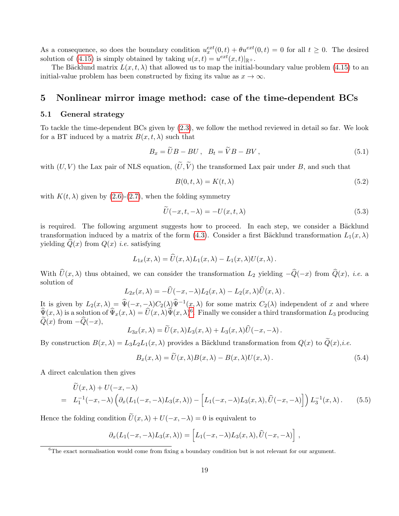As a consequence, so does the boundary condition  $u_x^{ext}(0,t) + \theta u^{ext}(0,t) = 0$  for all  $t \geq 0$ . The desired solution of [\(4.15\)](#page-15-4) is simply obtained by taking  $u(x,t) = u^{ext}(x,t)|_{\mathbb{R}^+}.$ 

The Bäcklund matrix  $L(x, t, \lambda)$  that allowed us to map the initial-boundary value problem [\(4.15\)](#page-15-4) to an initial-value problem has been constructed by fixing its value as  $x \to \infty$ .

# <span id="page-18-0"></span>5 Nonlinear mirror image method: case of the time-dependent BCs

## 5.1 General strategy

To tackle the time-dependent BCs given by [\(2.3\)](#page-3-2), we follow the method reviewed in detail so far. We look for a BT induced by a matrix  $B(x, t, \lambda)$  such that

$$
B_x = \widetilde{U}B - BU \,, \quad B_t = \widetilde{V}B - BV \,, \tag{5.1}
$$

with  $(U, V)$  the Lax pair of NLS equation,  $(\tilde{U}, \tilde{V})$  the transformed Lax pair under B, and such that

<span id="page-18-3"></span>
$$
B(0, t, \lambda) = K(t, \lambda) \tag{5.2}
$$

with  $K(t, \lambda)$  given by [\(2.6\)](#page-4-1)-[\(2.7\)](#page-4-2), when the folding symmetry

$$
\bar{U}(-x,t,-\lambda) = -U(x,t,\lambda) \tag{5.3}
$$

is required. The following argument suggests how to proceed. In each step, we consider a Bäcklund transformation induced by a matrix of the form [\(4.3\)](#page-12-1). Consider a first Bäcklund transformation  $L_1(x, \lambda)$ yielding  $Q(x)$  from  $Q(x)$  *i.e.* satisfying

$$
L_{1x}(x,\lambda) = \widehat{U}(x,\lambda)L_1(x,\lambda) - L_1(x,\lambda)U(x,\lambda).
$$

With  $\hat{U}(x, \lambda)$  thus obtained, we can consider the transformation  $L_2$  yielding  $-\hat{Q}(-x)$  from  $\hat{Q}(x)$ , *i.e.* a solution of

$$
L_{2x}(x,\lambda) = -\widehat{U}(-x,-\lambda)L_2(x,\lambda) - L_2(x,\lambda)\widehat{U}(x,\lambda).
$$

It is given by  $L_2(x, \lambda) = \hat{\Psi}(-x, -\lambda)C_2(\lambda)\hat{\Psi}^{-1}(x, \lambda)$  for some matrix  $C_2(\lambda)$  independent of x and where  $\widehat{\Psi}(x,\lambda)$  is a solution of  $\widehat{\Psi}_x(x,\lambda) = \widehat{U}(x,\lambda)\widehat{\Psi}(x,\lambda)^6$  $\widehat{\Psi}_x(x,\lambda) = \widehat{U}(x,\lambda)\widehat{\Psi}(x,\lambda)^6$ . Finally we consider a third transformation  $L_3$  producing  $Q(x)$  from  $-Q(-x)$ ,

$$
L_{3x}(x,\lambda) = \widetilde{U}(x,\lambda)L_3(x,\lambda) + L_3(x,\lambda)\widehat{U}(-x,-\lambda).
$$

By construction  $B(x, \lambda) = L_3L_2L_1(x, \lambda)$  provides a Bäcklund transformation from  $Q(x)$  to  $Q(x)$ ,*i.e.* 

<span id="page-18-2"></span>
$$
B_x(x,\lambda) = \tilde{U}(x,\lambda)B(x,\lambda) - B(x,\lambda)U(x,\lambda).
$$
\n(5.4)

A direct calculation then gives

$$
\overline{U}(x,\lambda) + U(-x,-\lambda)
$$
\n
$$
= L_1^{-1}(-x,-\lambda) \left( \partial_x (L_1(-x,-\lambda)L_3(x,\lambda)) - \left[ L_1(-x,-\lambda)L_3(x,\lambda), \widehat{U}(-x,-\lambda) \right] \right) L_3^{-1}(x,\lambda).
$$
\n(5.5)

Hence the folding condition  $\tilde{U}(x, \lambda) + U(-x, -\lambda) = 0$  is equivalent to

$$
\partial_x (L_1(-x,-\lambda)L_3(x,\lambda)) = \left[L_1(-x,-\lambda)L_3(x,\lambda),\widehat{U}(-x,-\lambda)\right],
$$

<span id="page-18-1"></span> $6$ The exact normalisation would come from fixing a boundary condition but is not relevant for our argument.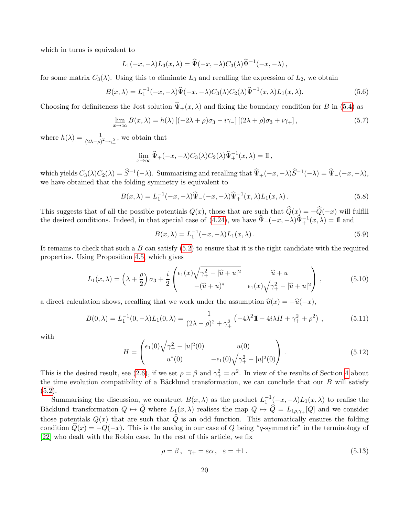which in turns is equivalent to

$$
L_1(-x, -\lambda)L_3(x, \lambda) = \widehat{\Psi}(-x, -\lambda)C_3(\lambda)\widehat{\Psi}^{-1}(-x, -\lambda),
$$

for some matrix  $C_3(\lambda)$ . Using this to eliminate  $L_3$  and recalling the expression of  $L_2$ , we obtain

$$
B(x,\lambda) = L_1^{-1}(-x,-\lambda)\widehat{\Psi}(-x,-\lambda)C_3(\lambda)C_2(\lambda)\widehat{\Psi}^{-1}(x,\lambda)L_1(x,\lambda).
$$
 (5.6)

Choosing for definiteness the Jost solution  $\hat{\Psi}_+(x,\lambda)$  and fixing the boundary condition for B in [\(5.4\)](#page-18-2) as

$$
\lim_{x \to \infty} B(x,\lambda) = h(\lambda) \left[ (-2\lambda + \rho)\sigma_3 - i\gamma_- \right] \left[ (2\lambda + \rho)\sigma_3 + i\gamma_+ \right],\tag{5.7}
$$

where  $h(\lambda) = \frac{1}{(2\lambda - \rho)^2 + \gamma_+^2}$ , we obtain that

$$
\lim_{x \to \infty} \widehat{\Psi}_+(-x, -\lambda) C_3(\lambda) C_2(\lambda) \widehat{\Psi}_+^{-1}(x, \lambda) = \mathbb{I},
$$

which yields  $C_3(\lambda)C_2(\lambda) = \widehat{S}^{-1}(-\lambda)$ . Summarising and recalling that  $\widehat{\Psi}_+(-x, -\lambda)\widehat{S}^{-1}(-\lambda) = \widehat{\Psi}_-(-x, -\lambda)$ , we have obtained that the folding symmetry is equivalent to

$$
B(x,\lambda) = L_1^{-1}(-x,-\lambda)\widehat{\Psi}_-(-x,-\lambda)\widehat{\Psi}_+^{-1}(x,\lambda)L_1(x,\lambda).
$$
 (5.8)

This suggests that of all the possible potentials  $Q(x)$ , those that are such that  $\widehat{Q}(x) = -\widehat{Q}(-x)$  will fulfill the desired conditions. Indeed, in that special case of [\(4.24\)](#page-16-1), we have  $\hat{\Psi}_{-}(-x, -\lambda)\hat{\Psi}_{+}^{-1}(x, \lambda) = \mathbb{I}$  and

<span id="page-19-1"></span>
$$
B(x,\lambda) = L_1^{-1}(-x,-\lambda)L_1(x,\lambda).
$$
 (5.9)

It remains to check that such a  $B$  can satisfy  $(5.2)$  to ensure that it is the right candidate with the required properties. Using Proposition [4.5,](#page-13-4) which gives

$$
L_1(x,\lambda) = \left(\lambda + \frac{\rho}{2}\right)\sigma_3 + \frac{i}{2}\begin{pmatrix} \epsilon_1(x)\sqrt{\gamma_+^2 - |\hat{u} + u|^2} & \hat{u} + u \\ -(\hat{u} + u)^* & \epsilon_1(x)\sqrt{\gamma_+^2 - |\hat{u} + u|^2} \end{pmatrix},
$$
(5.10)

a direct calculation shows, recalling that we work under the assumption  $\hat{u}(x) = -\hat{u}(-x)$ ,

<span id="page-19-2"></span>
$$
B(0,\lambda) = L_1^{-1}(0,-\lambda)L_1(0,\lambda) = \frac{1}{(2\lambda - \rho)^2 + \gamma_+^2} \left( -4\lambda^2 \mathbb{I} - 4i\lambda H + \gamma_+^2 + \rho^2 \right),\tag{5.11}
$$

with

<span id="page-19-3"></span>
$$
H = \begin{pmatrix} \epsilon_1(0)\sqrt{\gamma_+^2 - |u|^2(0)} & u(0) \\ u^*(0) & -\epsilon_1(0)\sqrt{\gamma_+^2 - |u|^2(0)} \end{pmatrix} .
$$
 (5.12)

This is the desired result, see [\(2.6\)](#page-4-1), if we set  $\rho = \beta$  and  $\gamma_+^2 = \alpha^2$ . In view of the results of Section [4](#page-10-0) about the time evolution compatibility of a Bäcklund transformation, we can conclude that our  $B$  will satisfy  $(5.2).$  $(5.2).$ 

Summarising the discussion, we construct  $B(x, \lambda)$  as the product  $L_1^{-1}(-x, -\lambda)L_1(x, \lambda)$  to realise the Bäcklund transformation  $Q \mapsto \tilde{Q}$  where  $L_1(x, \lambda)$  realises the map  $Q \mapsto \hat{Q} = L_{1\rho,\gamma_+}[Q]$  and we consider those potentials  $Q(x)$  that are such that  $\widehat{Q}$  is an odd function. This automatically ensures the folding condition  $Q(x) = -Q(-x)$ . This is the analog in our case of Q being "q-symmetric" in the terminology of [\[22\]](#page-36-3) who dealt with the Robin case. In the rest of this article, we fix

<span id="page-19-0"></span>
$$
\rho = \beta, \quad \gamma_+ = \varepsilon \alpha, \quad \varepsilon = \pm 1. \tag{5.13}
$$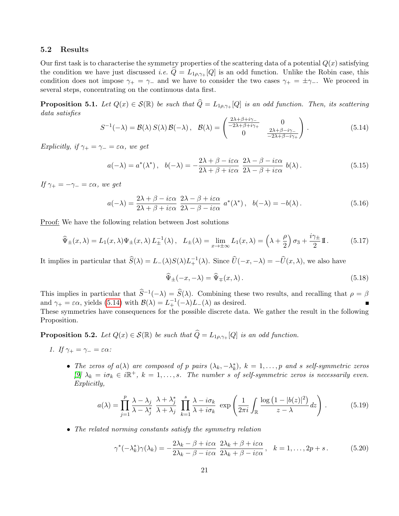## 5.2 Results

Our first task is to characterise the symmetry properties of the scattering data of a potential  $Q(x)$  satisfying the condition we have just discussed *i.e.*  $\hat{Q} = L_{1\rho,\gamma+} [Q]$  is an odd function. Unlike the Robin case, this condition does not impose  $\gamma_+ = \gamma_-$  and we have to consider the two cases  $\gamma_+ = \pm \gamma_-$ . We proceed in several steps, concentrating on the continuous data first.

<span id="page-20-1"></span>**Proposition 5.1.** Let  $Q(x) \in \mathcal{S}(\mathbb{R})$  be such that  $\widehat{Q} = L_{1\rho,\gamma+} |Q|$  is an odd function. Then, its scattering data satisfies

<span id="page-20-2"></span>
$$
S^{-1}(-\lambda) = \mathcal{B}(\lambda) S(\lambda) \mathcal{B}(-\lambda), \quad \mathcal{B}(\lambda) = \begin{pmatrix} \frac{2\lambda + \beta + i\gamma_{-}}{-2\lambda + \beta + i\gamma_{+}} & 0\\ 0 & \frac{2\lambda + \beta - i\gamma_{-}}{-2\lambda + \beta - i\gamma_{+}} \end{pmatrix}.
$$
 (5.14)

Explicitly, if  $\gamma_+ = \gamma_- = \varepsilon \alpha$ , we get

<span id="page-20-3"></span>
$$
a(-\lambda) = a^*(\lambda^*), \quad b(-\lambda) = -\frac{2\lambda + \beta - i\varepsilon\alpha}{2\lambda + \beta + i\varepsilon\alpha} \frac{2\lambda - \beta - i\varepsilon\alpha}{2\lambda - \beta + i\varepsilon\alpha} b(\lambda).
$$
 (5.15)

If  $\gamma_+ = -\gamma_- = \varepsilon \alpha$ , we get

<span id="page-20-7"></span>
$$
a(-\lambda) = \frac{2\lambda + \beta - i\varepsilon\alpha}{2\lambda + \beta + i\varepsilon\alpha} \frac{2\lambda - \beta + i\varepsilon\alpha}{2\lambda - \beta - i\varepsilon\alpha} a^*(\lambda^*), \quad b(-\lambda) = -b(\lambda). \tag{5.16}
$$

Proof: We have the following relation between Jost solutions

<span id="page-20-4"></span>
$$
\widehat{\Psi}_{\pm}(x,\lambda) = L_1(x,\lambda)\Psi_{\pm}(x,\lambda)L_{\pm}^{-1}(\lambda), \quad L_{\pm}(\lambda) = \lim_{x \to \pm \infty} L_1(x,\lambda) = \left(\lambda + \frac{\rho}{2}\right)\sigma_3 + \frac{i\gamma_{\pm}}{2}\mathbb{I}.
$$
 (5.17)

It implies in particular that  $\widehat{S}(\lambda) = L_{-}(\lambda)S(\lambda)L_{+}^{-1}(\lambda)$ . Since  $\widehat{U}(-x, -\lambda) = -\widehat{U}(x, \lambda)$ , we also have

<span id="page-20-5"></span>
$$
\widehat{\Psi}_{\pm}(-x,-\lambda) = \widehat{\Psi}_{\mp}(x,\lambda). \tag{5.18}
$$

This implies in particular that  $\hat{S}^{-1}(-\lambda) = \hat{S}(\lambda)$ . Combining these two results, and recalling that  $\rho = \beta$ and  $\gamma_+ = \varepsilon \alpha$ , yields [\(5.14\)](#page-20-2) with  $\mathcal{B}(\lambda) = L_+^{-1}(-\lambda)L_-(\lambda)$  as desired.

These symmetries have consequences for the possible discrete data. We gather the result in the following Proposition.

<span id="page-20-0"></span>**Proposition 5.2.** Let  $Q(x) \in \mathcal{S}(\mathbb{R})$  be such that  $\widehat{Q} = L_{1\rho,\gamma_+}[Q]$  is an odd function.

- 1. If  $\gamma_+ = \gamma_- = \varepsilon \alpha$ :
	- The zeros of  $a(\lambda)$  are composed of p pairs  $(\lambda_k, -\lambda_k^*)$ ,  $k = 1, \ldots, p$  and s self-symmetric zeros [\[9\]](#page-35-3)  $\lambda_k = i\sigma_k \in i\mathbb{R}^+, k = 1, \ldots, s$ . The number s of self-symmetric zeros is necessarily even. Explicitly,

<span id="page-20-6"></span>
$$
a(\lambda) = \prod_{j=1}^{p} \frac{\lambda - \lambda_j}{\lambda - \lambda_j^*} \frac{\lambda + \lambda_j^*}{\lambda + \lambda_j} \prod_{k=1}^{s} \frac{\lambda - i\sigma_k}{\lambda + i\sigma_k} \exp\left(\frac{1}{2\pi i} \int_{\mathbb{R}} \frac{\log(1 - |b(z)|^2)}{z - \lambda} dz\right).
$$
 (5.19)

• The related norming constants satisfy the symmetry relation

<span id="page-20-8"></span>
$$
\gamma^*(-\lambda_k^*)\gamma(\lambda_k) = -\frac{2\lambda_k - \beta + i\varepsilon\alpha}{2\lambda_k - \beta - i\varepsilon\alpha} \frac{2\lambda_k + \beta + i\varepsilon\alpha}{2\lambda_k + \beta - i\varepsilon\alpha}, \quad k = 1, \dots, 2p + s. \tag{5.20}
$$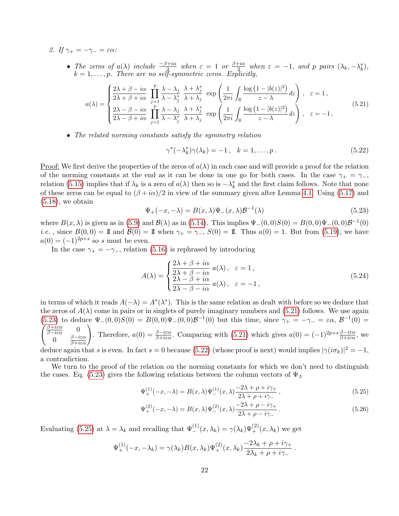2. If  $\gamma_+ = -\gamma_- = \varepsilon \alpha$ :

• The zeros of  $a(\lambda)$  include  $\frac{-\beta+i\alpha}{2}$  when  $\varepsilon = 1$  or  $\frac{\beta+i\alpha}{2}$  $\frac{\partial^2 f}{\partial x^2}$  when  $\varepsilon = -1$ , and p pairs  $(\lambda_k, -\lambda_k^*),$  $k = 1, \ldots, p$ . There are no self-symmetric zeros. Explicitly,

<span id="page-21-0"></span>
$$
a(\lambda) = \begin{cases} \frac{2\lambda + \beta - i\alpha}{2\lambda + \beta + i\alpha} \prod_{j=1}^{p} \frac{\lambda - \lambda_j}{\lambda - \lambda_j^*} \frac{\lambda + \lambda_j^*}{\lambda + \lambda_j} \exp\left(\frac{1}{2\pi i} \int_{\mathbb{R}} \frac{\log(1 - |b(z)|^2)}{z - \lambda} dz\right), & \varepsilon = 1, \\ \frac{2\lambda - \beta - i\alpha}{2\lambda - \beta + i\alpha} \prod_{j=1}^{p} \frac{\lambda - \lambda_j}{\lambda - \lambda_j^*} \frac{\lambda + \lambda_j^*}{\lambda + \lambda_j} \exp\left(\frac{1}{2\pi i} \int_{\mathbb{R}} \frac{\log(1 - |b(z)|^2)}{z - \lambda} dz\right), & \varepsilon = -1, \end{cases}
$$
(5.21)

• The related norming constants satisfy the symmetry relation

<span id="page-21-2"></span>
$$
\gamma^*(-\lambda_k^*)\gamma(\lambda_k) = -1, \quad k = 1, \dots, p. \tag{5.22}
$$

Proof: We first derive the properties of the zeros of  $a(\lambda)$  in each case and will provide a proof for the relation of the norming constants at the end as it can be done in one go for both cases. In the case  $\gamma_+ = \gamma_-,$ relation [\(5.15\)](#page-20-3) implies that if  $\lambda_k$  is a zero of  $a(\lambda)$  then so is  $-\lambda_k^*$  and the first claim follows. Note that none of these zeros can be equal to  $(\beta + i\alpha)/2$  in view of the summary given after Lemma [4.1.](#page-11-2) Using [\(5.17\)](#page-20-4) and  $(5.18)$ , we obtain

<span id="page-21-1"></span>
$$
\Psi_{+}(-x,-\lambda) = B(x,\lambda)\Psi_{-}(x,\lambda)\mathcal{B}^{-1}(\lambda)
$$
\n(5.23)

where  $B(x, \lambda)$  is given as in [\(5.9\)](#page-19-1) and  $\mathcal{B}(\lambda)$  as in [\(5.14\)](#page-20-2). This implies  $\Psi_-(0,0)S(0) = B(0,0)\Psi_-(0,0)\mathcal{B}^{-1}(0)$ *i.e.*, since  $B(0,0) = \mathbb{I}$  and  $\mathcal{B}(0) = \mathbb{I}$  when  $\gamma_+ = \gamma_-, S(0) = \mathbb{I}$ . Thus  $a(0) = 1$ . But from [\(5.19\)](#page-20-6), we have  $a(0) = (-1)^{2p+s}$  so s must be even.

In the case  $\gamma_+ = -\gamma_-,$  relation [\(5.16\)](#page-20-7) is rephrased by introducing

$$
A(\lambda) = \begin{cases} \frac{2\lambda + \beta + i\alpha}{2\lambda + \beta - i\alpha} a(\lambda), & \varepsilon = 1, \\ \frac{2\lambda - \beta + i\alpha}{2\lambda - \beta - i\alpha} a(\lambda), & \varepsilon = -1, \end{cases}
$$
(5.24)

in terms of which it reads  $A(-\lambda) = A^*(\lambda^*)$ . This is the same relation as dealt with before so we deduce that the zeros of  $A(\lambda)$  come in pairs or in singlets of purely imaginary numbers and [\(5.21\)](#page-21-0) follows. We use again [\(5.23\)](#page-21-1) to deduce  $\Psi_-(0,0)S(0) = B(0,0)\Psi_-(0,0)\mathcal{B}^{-1}(0)$  but this time, since  $\gamma_+ = -\gamma_- = \varepsilon \alpha, \mathcal{B}^{-1}(0) =$  $\int \frac{\beta + i \varepsilon \alpha}{\beta - i \varepsilon \alpha}$  0 0 β−iεα  $\begin{pmatrix} 0 \\ \frac{\beta - i \varepsilon \alpha}{\beta + i \varepsilon \alpha} \end{pmatrix}$ Therefore,  $a(0) = \frac{\beta - i\varepsilon\alpha}{\beta + i\varepsilon\alpha}$ . Comparing with [\(5.21\)](#page-21-0) which gives  $a(0) = (-1)^{2p + s}\frac{\beta - i\varepsilon\alpha}{\beta + i\varepsilon\alpha}$ , we

deduce again that s is even. In fact s = 0 because [\(5.22\)](#page-21-2) (whose proof is next) would implies  $|\gamma(i\sigma_k)|^2 = -1$ , a contradiction.

We turn to the proof of the relation on the norming constants for which we don't need to distinguish the cases. Eq. [\(5.23\)](#page-21-1) gives the following relations between the column vectors of  $\Psi_{\pm}$ 

<span id="page-21-3"></span>
$$
\Psi_{+}^{(1)}(-x,-\lambda) = B(x,\lambda)\Psi_{-}^{(1)}(x,\lambda)\frac{-2\lambda+\rho+i\gamma_{+}}{2\lambda+\rho+i\gamma_{-}},
$$
\n(5.25)

$$
\Psi_{+}^{(2)}(-x,-\lambda) = B(x,\lambda)\Psi_{-}^{(2)}(x,\lambda)\frac{-2\lambda + \rho - i\gamma_{+}}{2\lambda + \rho - i\gamma_{-}}.
$$
\n(5.26)

Evaluating [\(5.25\)](#page-21-3) at  $\lambda = \lambda_k$  and recalling that  $\Psi_{-}^{(1)}(x, \lambda_k) = \gamma(\lambda_k) \Psi_{+}^{(2)}(x, \lambda_k)$  we get

$$
\Psi_+^{(1)}(-x,-\lambda_k) = \gamma(\lambda_k)B(x,\lambda_k)\Psi_+^{(2)}(x,\lambda_k)\frac{-2\lambda_k + \rho + i\gamma_+}{2\lambda_k + \rho + i\gamma_-}.
$$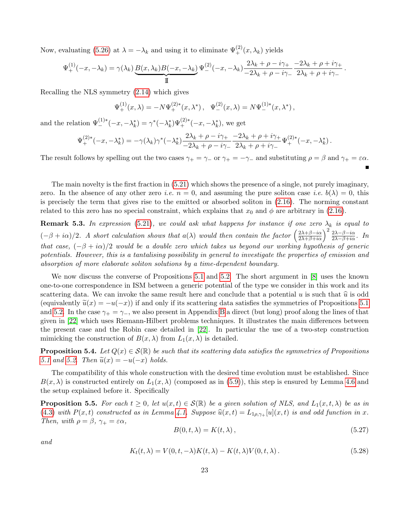Now, evaluating [\(5.26\)](#page-21-3) at  $\lambda = -\lambda_k$  and using it to eliminate  $\Psi_{+}^{(2)}(x, \lambda_k)$  yields

$$
\Psi_+^{(1)}(-x,-\lambda_k) = \gamma(\lambda_k) \underbrace{B(x,\lambda_k)B(-x,-\lambda_k)}_{\text{II}} \Psi_-^{(2)}(-x,-\lambda_k) \frac{2\lambda_k + \rho - i\gamma_+}{-2\lambda_k + \rho - i\gamma_-} \frac{-2\lambda_k + \rho + i\gamma_+}{2\lambda_k + \rho + i\gamma_-}.
$$

Recalling the NLS symmetry [\(2.14\)](#page-4-4) which gives

$$
\Psi_+^{(1)}(x,\lambda) = -N\Psi_+^{(2)*}(x,\lambda^*), \quad \Psi_-^{(2)}(x,\lambda) = N\Psi_-^{(1)*}(x,\lambda^*),
$$

and the relation  $\Psi_{-}^{(1)*}(-x, -\lambda_k^*) = \gamma^*(-\lambda_k^*)\Psi_{+}^{(2)*}(-x, -\lambda_k^*)$ , we get

$$
\Psi_+^{(2)*}(-x, -\lambda_k^*) = -\gamma(\lambda_k)\gamma^*(-\lambda_k^*) \frac{2\lambda_k + \rho - i\gamma_+}{-2\lambda_k + \rho - i\gamma_-} \frac{-2\lambda_k + \rho + i\gamma_+}{2\lambda_k + \rho + i\gamma_-} \Psi_+^{(2)*}(-x, -\lambda_k^*)\,.
$$

The result follows by spelling out the two cases  $\gamma_+ = \gamma_-$  or  $\gamma_+ = -\gamma_-$  and substituting  $\rho = \beta$  and  $\gamma_+ = \varepsilon \alpha$ .

The main novelty is the first fraction in [\(5.21\)](#page-21-0) which shows the presence of a single, not purely imaginary, zero. In the absence of any other zero *i.e.*  $n = 0$ , and assuming the pure soliton case *i.e.*  $b(\lambda) = 0$ , this is precisely the term that gives rise to the emitted or absorbed soliton in [\(2.16\)](#page-5-0). The norming constant related to this zero has no special constraint, which explains that  $x_0$  and  $\phi$  are arbitrary in [\(2.16\)](#page-5-0).

**Remark 5.3.** In expression [\(5.21\)](#page-21-0), we could ask what happens for instance if one zero  $\lambda_k$  is equal to  $(-\beta + i\alpha)/2$ . A short calculation shows that  $a(\lambda)$  would then contain the factor  $\left(\frac{2\lambda+\beta-i\alpha}{2\lambda+\beta+i\alpha}\right)^2 \frac{2\lambda-\beta-i\alpha}{2\lambda-\beta+i\alpha}$ . In that case,  $(-\beta + i\alpha)/2$  would be a double zero which takes us beyond our working hypothesis of generic potentials. However, this is a tantalising possibility in general to investigate the properties of emission and absorption of more elaborate soliton solutions by a time-dependent boundary.

We now discuss the converse of Propositions [5.1](#page-20-1) and [5.2.](#page-20-0) The short argument in [\[8\]](#page-35-1) uses the known one-to-one correspondence in ISM between a generic potential of the type we consider in this work and its scattering data. We can invoke the same result here and conclude that a potential u is such that  $\hat{u}$  is odd (equivalently  $\tilde{u}(x) = -u(-x)$ ) if and only if its scattering data satisfies the symmetries of Propositions [5.1](#page-20-1) and [5.2.](#page-20-0) In the case  $\gamma_+ = \gamma_-,$  we also present in Appendix [B](#page-32-0) a direct (but long) proof along the lines of that given in [\[22\]](#page-36-3) which uses Riemann-Hilbert problems techniques. It illustrates the main differences between the present case and the Robin case detailed in [\[22\]](#page-36-3). In particular the use of a two-step construction mimicking the construction of  $B(x, \lambda)$  from  $L_1(x, \lambda)$  is detailed.

<span id="page-22-0"></span>**Proposition 5.4.** Let  $Q(x) \in S(\mathbb{R})$  be such that its scattering data satisfies the symmetries of Propositions [5.1](#page-20-1) and [5.2.](#page-20-0) Then  $\widetilde{u}(x) = -u(-x)$  holds.

The compatibility of this whole construction with the desired time evolution must be established. Since  $B(x, \lambda)$  is constructed entirely on  $L_1(x, \lambda)$  (composed as in [\(5.9\)](#page-19-1)), this step is ensured by Lemma [4.6](#page-14-1) and the setup explained before it. Specifically

**Proposition 5.5.** For each  $t \geq 0$ , let  $u(x,t) \in \mathcal{S}(\mathbb{R})$  be a given solution of NLS, and  $L_1(x,t,\lambda)$  be as in [\(4.3\)](#page-12-1) with  $P(x, t)$  constructed as in Lemma [4.1.](#page-11-2) Suppose  $\hat{u}(x, t) = L_{1\rho, \gamma_+}[u](x, t)$  is and odd function in x. Then, with  $\rho = \beta$ ,  $\gamma_+ = \varepsilon \alpha$ ,

$$
B(0, t, \lambda) = K(t, \lambda), \qquad (5.27)
$$

 $\blacksquare$ 

and

$$
K_t(t,\lambda) = V(0,t,-\lambda)K(t,\lambda) - K(t,\lambda)V(0,t,\lambda).
$$
\n(5.28)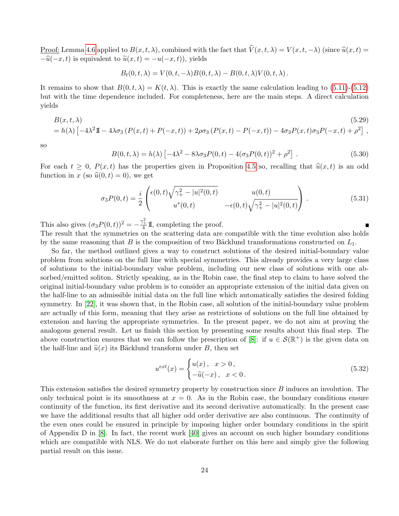<u>Proof:</u> Lemma [4.6](#page-14-1) applied to  $B(x, t, \lambda)$ , combined with the fact that  $\widetilde{V}(x, t, \lambda) = V(x, t, -\lambda)$  (since  $\widehat{u}(x, t) =$  $-\widehat{u}(-x, t)$  is equivalent to  $\widetilde{u}(x, t) = -u(-x, t)$ , yields

$$
B_t(0, t, \lambda) = V(0, t, -\lambda)B(0, t, \lambda) - B(0, t, \lambda)V(0, t, \lambda).
$$

It remains to show that  $B(0, t, \lambda) = K(t, \lambda)$ . This is exactly the same calculation leading to [\(5.11\)](#page-19-2)-[\(5.12\)](#page-19-3) but with the time dependence included. For completeness, here are the main steps. A direct calculation yields

<span id="page-23-1"></span>
$$
B(x,t,\lambda) \tag{5.29}
$$
  
=  $h(\lambda) \left[ -4\lambda^2 \mathbb{I} - 4\lambda \sigma_3 \left( P(x,t) + P(-x,t) \right) + 2\rho \sigma_3 \left( P(x,t) - P(-x,t) \right) - 4\sigma_3 P(x,t) \sigma_3 P(-x,t) + \rho^2 \right],$ 

so

$$
B(0, t, \lambda) = h(\lambda) \left[ -4\lambda^2 - 8\lambda \sigma_3 P(0, t) - 4(\sigma_3 P(0, t))^2 + \rho^2 \right].
$$
 (5.30)

For each  $t > 0$ ,  $P(x, t)$  has the properties given in Proposition [4.5](#page-13-4) so, recalling that  $\hat{u}(x, t)$  is an odd function in x (so  $\hat{u}(0, t) = 0$ ), we get

$$
\sigma_3 P(0,t) = \frac{i}{2} \begin{pmatrix} \epsilon(0,t) \sqrt{\gamma_+^2 - |u|^2(0,t)} & u(0,t) \\ u^*(0,t) & -\epsilon(0,t) \sqrt{\gamma_+^2 - |u|^2(0,t)} \end{pmatrix} . \tag{5.31}
$$

This also gives  $(\sigma_3 P(0, t))^2 = -\frac{\gamma_+^2}{4} \mathbb{I}$ , completing the proof.

The result that the symmetries on the scattering data are compatible with the time evolution also holds by the same reasoning that B is the composition of two Bäcklund transformations constructed on  $L_1$ .

So far, the method outlined gives a way to construct solutions of the desired initial-boundary value problem from solutions on the full line with special symmetries. This already provides a very large class of solutions to the initial-boundary value problem, including our new class of solutions with one absorbed/emitted soliton. Strictly speaking, as in the Robin case, the final step to claim to have solved the original initial-boundary value problem is to consider an appropriate extension of the initial data given on the half-line to an admissible initial data on the full line which automatically satisfies the desired folding symmetry. In [\[22\]](#page-36-3), it was shown that, in the Robin case, all solution of the initial-boundary value problem are actually of this form, meaning that they arise as restrictions of solutions on the full line obtained by extension and having the appropriate symmetries. In the present paper, we do not aim at proving the analogous general result. Let us finish this section by presenting some results about this final step. The above construction ensures that we can follow the prescription of [\[8\]](#page-35-1): if  $u \in \mathcal{S}(\mathbb{R}^+)$  is the given data on the half-line and  $\tilde{u}(x)$  its Bäcklund transform under B, then set

<span id="page-23-0"></span>
$$
u^{ext}(x) = \begin{cases} u(x), & x > 0, \\ -\tilde{u}(-x), & x < 0. \end{cases}
$$
 (5.32)

This extension satisfies the desired symmetry property by construction since B induces an involution. The only technical point is its smoothness at  $x = 0$ . As in the Robin case, the boundary conditions ensure continuity of the function, its first derivative and its second derivative automatically. In the present case we have the additional results that all higher odd order derivative are also continuous. The continuity of the even ones could be ensured in principle by imposing higher order boundary conditions in the spirit of Appendix D in [\[8\]](#page-35-1). In fact, the recent work [\[40\]](#page-37-7) gives an account on such higher boundary conditions which are compatible with NLS. We do not elaborate further on this here and simply give the following partial result on this issue.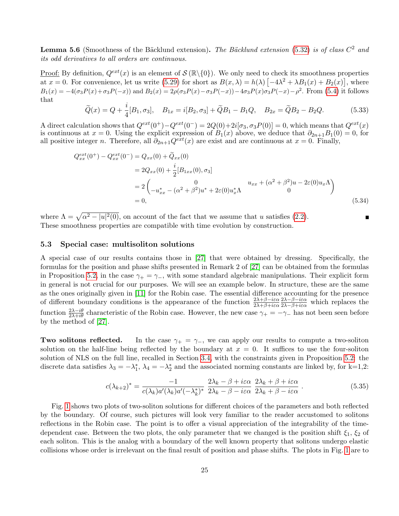**Lemma 5.6** (Smoothness of the Bäcklund extension). The Bäcklund extension [\(5.32\)](#page-23-0) is of class  $C^2$  and its odd derivatives to all orders are continuous.

<u>Proof:</u> By definition,  $Q^{ext}(x)$  is an element of  $S(\mathbb{R}\setminus\{0\})$ . We only need to check its smoothness properties at  $x = 0$ . For convenience, let us write [\(5.29\)](#page-23-1) for short as  $B(x, \lambda) = h(\lambda) \left[ -4\lambda^2 + \lambda B_1(x) + B_2(x) \right]$ , where  $B_1(x) = -4(\sigma_3 P(x) + \sigma_3 P(-x))$  and  $B_2(x) = 2\rho(\sigma_3 P(x) - \sigma_3 P(-x)) - 4\sigma_3 P(x)\sigma_3 P(-x) - \rho^2$ . From [\(5.4\)](#page-18-2) it follows that

$$
\widetilde{Q}(x) = Q + \frac{i}{4}[B_1, \sigma_3], \quad B_{1x} = i[B_2, \sigma_3] + \widetilde{Q}B_1 - B_1Q, \quad B_{2x} = \widetilde{Q}B_2 - B_2Q. \tag{5.33}
$$

A direct calculation shows that  $Q^{ext}(0^+) - Q^{ext}(0^-) = 2Q(0) + 2i[\sigma_3, \sigma_3 P(0)] = 0$ , which means that  $Q^{ext}(x)$ is continuous at  $x = 0$ . Using the explicit expression of  $B_1(x)$  above, we deduce that  $\partial_{2n+1}B_1(0) = 0$ , for all positive integer n. Therefore, all  $\partial_{2n+1}Q^{ext}(x)$  are exist and are continuous at  $x=0$ . Finally,

$$
Q_{xx}^{ext}(0^{+}) - Q_{xx}^{ext}(0^{-}) = Q_{xx}(0) + \tilde{Q}_{xx}(0)
$$
  
=  $2Q_{xx}(0) + \frac{i}{2}[B_{1xx}(0), \sigma_3]$   
=  $2\begin{pmatrix} 0 & u_{xx} + (\alpha^2 + \beta^2)u - 2\varepsilon(0)u_x\Lambda \\ -u_{xx}^* - (\alpha^2 + \beta^2)u^* + 2\varepsilon(0)u_x^*\Lambda & 0 \end{pmatrix}$   
= 0, (5.34)

where  $\Lambda = \sqrt{\alpha^2 - |u|^2(0)}$ , on account of the fact that we assume that u satisfies [\(2.2\)](#page-3-0). These smoothness properties are compatible with time evolution by construction.

#### <span id="page-24-0"></span>5.3 Special case: multisoliton solutions

A special case of our results contains those in [\[27\]](#page-36-8) that were obtained by dressing. Specifically, the formulas for the position and phase shifts presented in Remark 2 of [\[27\]](#page-36-8) can be obtained from the formulas in Proposition [5.2,](#page-20-0) in the case  $\gamma_+ = \gamma_-,$  with some standard algebraic manipulations. Their explicit form in general is not crucial for our purposes. We will see an example below. In structure, these are the same as the ones originally given in [\[11\]](#page-35-2) for the Robin case. The essential difference accounting for the presence of different boundary conditions is the appearance of the function  $\frac{2\lambda+\beta-i\varepsilon\alpha}{2\lambda+\beta+i\varepsilon\alpha}$  $\frac{2\lambda-\beta-i\varepsilon\alpha}{2\lambda-\beta+i\varepsilon\alpha}$  which replaces the function  $\frac{2\lambda-i\theta}{2\lambda+i\theta}$  characteristic of the Robin case. However, the new case  $\gamma_+=-\gamma_-$  has not been seen before by the method of [\[27\]](#page-36-8).

**Two solitons reflected.** In the case  $\gamma_+ = \gamma_-$ , we can apply our results to compute a two-soliton solution on the half-line being reflected by the boundary at  $x = 0$ . It suffices to use the four-soliton solution of NLS on the full line, recalled in Section [3.4,](#page-10-2) with the constraints given in Proposition [5.2:](#page-20-0) the discrete data satisfies  $\lambda_3 = -\lambda_1^*$ ,  $\lambda_4 = -\lambda_2^*$  and the associated norming constants are linked by, for k=1,2:

<span id="page-24-1"></span>
$$
c(\lambda_{k+2})^* = \frac{-1}{c(\lambda_k)a'(\lambda_k)a'(-\lambda_k^*)^*} \frac{2\lambda_k - \beta + i\varepsilon\alpha}{2\lambda_k - \beta - i\varepsilon\alpha} \frac{2\lambda_k + \beta + i\varepsilon\alpha}{2\lambda_k + \beta - i\varepsilon\alpha}.
$$
 (5.35)

Fig. [1](#page-25-0) shows two plots of two-soliton solutions for different choices of the parameters and both reflected by the boundary. Of course, such pictures will look very familiar to the reader accustomed to solitons reflections in the Robin case. The point is to offer a visual appreciation of the integrability of the timedependent case. Between the two plots, the only parameter that we changed is the position shift  $\xi_1$ ,  $\xi_2$  of each soliton. This is the analog with a boundary of the well known property that solitons undergo elastic collisions whose order is irrelevant on the final result of position and phase shifts. The plots in Fig. [1](#page-25-0) are to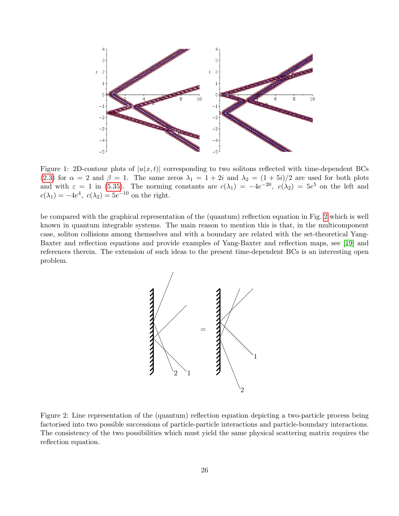

<span id="page-25-0"></span>Figure 1: 2D-contour plots of  $|u(x,t)|$  corresponding to two solitons reflected with time-dependent BCs [\(2.3\)](#page-3-2) for  $\alpha = 2$  and  $\beta = 1$ . The same zeros  $\lambda_1 = 1 + 2i$  and  $\lambda_2 = (1 + 5i)/2$  are used for both plots and with  $\varepsilon = 1$  in [\(5.35\)](#page-24-1). The norming constants are  $c(\lambda_1) = -4e^{-20}$ ,  $c(\lambda_2) = 5e^5$  on the left and  $c(\lambda_1) = -4e^4$ ,  $c(\lambda_2) = 5e^{-10}$  on the right.

be compared with the graphical representation of the (quantum) reflection equation in Fig. [2](#page-25-1) which is well known in quantum integrable systems. The main reason to mention this is that, in the multicomponent case, soliton collisions among themselves and with a boundary are related with the set-theoretical Yang-Baxter and reflection equations and provide examples of Yang-Baxter and reflection maps, see [\[19\]](#page-36-12) and references therein. The extension of such ideas to the present time-dependent BCs is an interesting open problem.



<span id="page-25-1"></span>Figure 2: Line representation of the (quantum) reflection equation depicting a two-particle process being factorised into two possible successions of particle-particle interactions and particle-boundary interactions. The consistency of the two possibilities which must yield the same physical scattering matrix requires the reflection equation.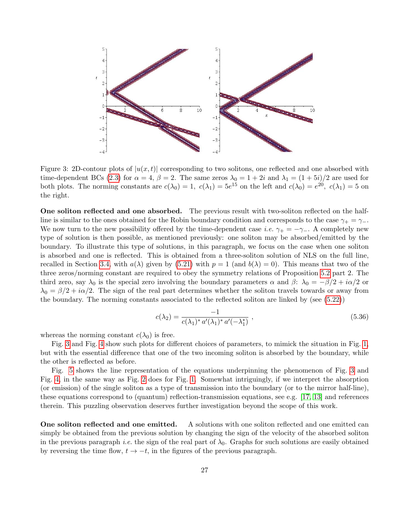

<span id="page-26-0"></span>Figure 3: 2D-contour plots of  $|u(x, t)|$  corresponding to two solitons, one reflected and one absorbed with time-dependent BCs [\(2.3\)](#page-3-2) for  $\alpha = 4$ ,  $\beta = 2$ . The same zeros  $\lambda_0 = 1 + 2i$  and  $\lambda_1 = (1 + 5i)/2$  are used for both plots. The norming constants are  $c(\lambda_0) = 1$ ,  $c(\lambda_1) = 5e^{15}$  on the left and  $c(\lambda_0) = e^{20}$ ,  $c(\lambda_1) = 5$  on the right.

One soliton reflected and one absorbed. The previous result with two-soliton reflected on the halfline is similar to the ones obtained for the Robin boundary condition and corresponds to the case  $\gamma_+ = \gamma_-$ . We now turn to the new possibility offered by the time-dependent case *i.e.*  $\gamma_+ = -\gamma_-\$ . A completely new type of solution is then possible, as mentioned previously: one soliton may be absorbed/emitted by the boundary. To illustrate this type of solutions, in this paragraph, we focus on the case when one soliton is absorbed and one is reflected. This is obtained from a three-soliton solution of NLS on the full line, recalled in Section [3.4,](#page-10-2) with  $a(\lambda)$  given by [\(5.21\)](#page-21-0) with  $p = 1$  (and  $b(\lambda) = 0$ ). This means that two of the three zeros/norming constant are required to obey the symmetry relations of Proposition [5.2](#page-20-0) part 2. The third zero, say  $\lambda_0$  is the special zero involving the boundary parameters  $\alpha$  and  $\beta$ :  $\lambda_0 = -\beta/2 + i\alpha/2$  or  $\lambda_0 = \beta/2 + i\alpha/2$ . The sign of the real part determines whether the soliton travels towards or away from the boundary. The norming constants associated to the reflected soliton are linked by (see [\(5.22\)](#page-21-2))

$$
c(\lambda_2) = \frac{-1}{c(\lambda_1)^* a'(\lambda_1)^* a'(-\lambda_1^*)},
$$
\n(5.36)

whereas the norming constant  $c(\lambda_0)$  is free.

Fig. [3](#page-26-0) and Fig. [4](#page-27-0) show such plots for different choices of parameters, to mimick the situation in Fig. [1,](#page-25-0) but with the essential difference that one of the two incoming soliton is absorbed by the boundary, while the other is reflected as before.

Fig. [5](#page-27-2) shows the line representation of the equations underpinning the phenomenon of Fig. [3](#page-26-0) and Fig. [4,](#page-27-0) in the same way as Fig. [2](#page-25-1) does for Fig. [1.](#page-25-0) Somewhat intriguingly, if we interpret the absorption (or emission) of the single soliton as a type of transmission into the boundary (or to the mirror half-line), these equations correspond to (quantum) reflection-transmission equations, see e.g. [\[17,](#page-36-13) [13\]](#page-36-14) and references therein. This puzzling observation deserves further investigation beyond the scope of this work.

One soliton reflected and one emitted. A solutions with one soliton reflected and one emitted can simply be obtained from the previous solution by changing the sign of the velocity of the absorbed soliton in the previous paragraph *i.e.* the sign of the real part of  $\lambda_0$ . Graphs for such solutions are easily obtained by reversing the time flow,  $t \rightarrow -t$ , in the figures of the previous paragraph.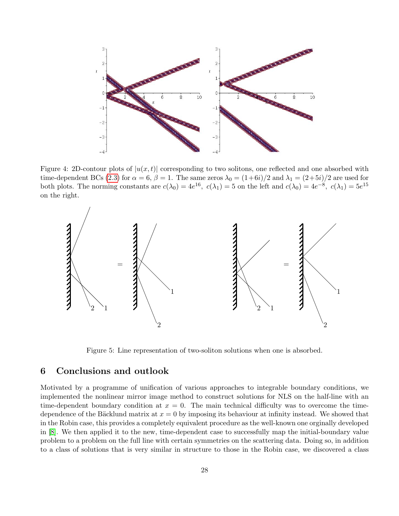

<span id="page-27-0"></span>Figure 4: 2D-contour plots of  $|u(x, t)|$  corresponding to two solitons, one reflected and one absorbed with time-dependent BCs [\(2.3\)](#page-3-2) for  $\alpha = 6$ ,  $\beta = 1$ . The same zeros  $\lambda_0 = (1+6i)/2$  and  $\lambda_1 = (2+5i)/2$  are used for both plots. The norming constants are  $c(\lambda_0) = 4e^{16}$ ,  $c(\lambda_1) = 5$  on the left and  $c(\lambda_0) = 4e^{-8}$ ,  $c(\lambda_1) = 5e^{15}$ on the right.



<span id="page-27-2"></span>Figure 5: Line representation of two-soliton solutions when one is absorbed.

# <span id="page-27-1"></span>6 Conclusions and outlook

Motivated by a programme of unification of various approaches to integrable boundary conditions, we implemented the nonlinear mirror image method to construct solutions for NLS on the half-line with an time-dependent boundary condition at  $x = 0$ . The main technical difficulty was to overcome the timedependence of the Bäcklund matrix at  $x = 0$  by imposing its behaviour at infinity instead. We showed that in the Robin case, this provides a completely equivalent procedure as the well-known one orginally developed in [\[8\]](#page-35-1). We then applied it to the new, time-dependent case to successfully map the initial-boundary value problem to a problem on the full line with certain symmetries on the scattering data. Doing so, in addition to a class of solutions that is very similar in structure to those in the Robin case, we discovered a class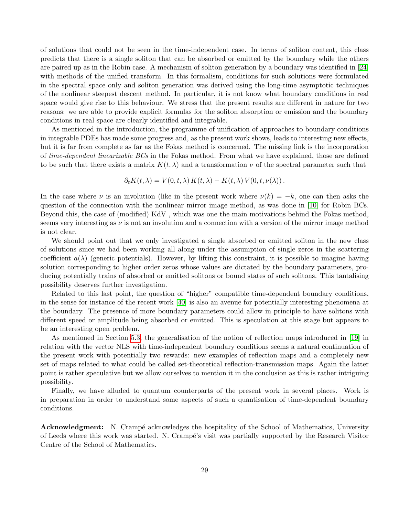of solutions that could not be seen in the time-independent case. In terms of soliton content, this class predicts that there is a single soliton that can be absorbed or emitted by the boundary while the others are paired up as in the Robin case. A mechanism of soliton generation by a boundary was identified in [\[24\]](#page-36-15) with methods of the unified transform. In this formalism, conditions for such solutions were formulated in the spectral space only and soliton generation was derived using the long-time asymptotic techniques of the nonlinear steepest descent method. In particular, it is not know what boundary conditions in real space would give rise to this behaviour. We stress that the present results are different in nature for two reasons: we are able to provide explicit formulas for the soliton absorption or emission and the boundary conditions in real space are clearly identified and integrable.

As mentioned in the introduction, the programme of unification of approaches to boundary conditions in integrable PDEs has made some progress and, as the present work shows, leads to interesting new effects, but it is far from complete as far as the Fokas method is concerned. The missing link is the incorporation of time-dependent linearizable BCs in the Fokas method. From what we have explained, those are defined to be such that there exists a matrix  $K(t, \lambda)$  and a transformation  $\nu$  of the spectral parameter such that

$$
\partial_t K(t,\lambda) = V(0,t,\lambda) K(t,\lambda) - K(t,\lambda) V(0,t,\nu(\lambda)).
$$

In the case where  $\nu$  is an involution (like in the present work where  $\nu(k) = -k$ , one can then asks the question of the connection with the nonlinear mirror image method, as was done in [\[10\]](#page-35-7) for Robin BCs. Beyond this, the case of (modified) KdV , which was one the main motivations behind the Fokas method, seems very interesting as  $\nu$  is not an involution and a connection with a version of the mirror image method is not clear.

We should point out that we only investigated a single absorbed or emitted soliton in the new class of solutions since we had been working all along under the assumption of single zeros in the scattering coefficient  $a(\lambda)$  (generic potentials). However, by lifting this constraint, it is possible to imagine having solution corresponding to higher order zeros whose values are dictated by the boundary parameters, producing potentially trains of absorbed or emitted solitons or bound states of such solitons. This tantalising possibility deserves further investigation.

Related to this last point, the question of "higher" compatible time-dependent boundary conditions, in the sense for instance of the recent work [\[40\]](#page-37-7) is also an avenue for potentially interesting phenomena at the boundary. The presence of more boundary parameters could allow in principle to have solitons with different speed or amplitude being absorbed or emitted. This is speculation at this stage but appears to be an interesting open problem.

As mentioned in Section [5.3,](#page-24-0) the generalisation of the notion of reflection maps introduced in [\[19\]](#page-36-12) in relation with the vector NLS with time-independent boundary conditions seems a natural continuation of the present work with potentially two rewards: new examples of reflection maps and a completely new set of maps related to what could be called set-theoretical reflection-transmission maps. Again the latter point is rather speculative but we allow ourselves to mention it in the conclusion as this is rather intriguing possibility.

Finally, we have alluded to quantum counterparts of the present work in several places. Work is in preparation in order to understand some aspects of such a quantisation of time-dependent boundary conditions.

**Acknowledgment:** N. Crampé acknowledges the hospitality of the School of Mathematics, University of Leeds where this work was started. N. Cramp´e's visit was partially supported by the Research Visitor Centre of the School of Mathematics.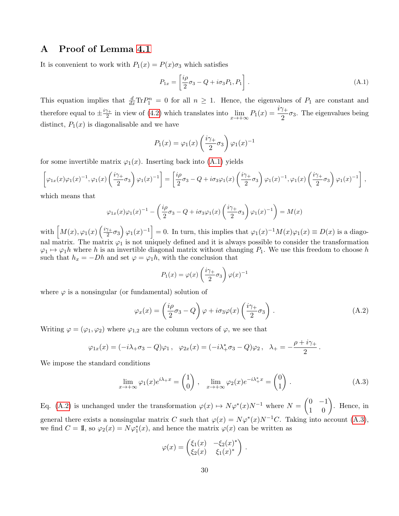# <span id="page-29-0"></span>A Proof of Lemma [4.1](#page-11-2)

It is convenient to work with  $P_1(x) = P(x)\sigma_3$  which satisfies

<span id="page-29-1"></span>
$$
P_{1x} = \left[\frac{i\rho}{2}\sigma_3 - Q + i\sigma_3 P_1, P_1\right].\tag{A.1}
$$

This equation implies that  $\frac{d}{dx} \text{Tr} P_1^n = 0$  for all  $n \geq 1$ . Hence, the eigenvalues of  $P_1$  are constant and therefore equal to  $\pm \frac{i\gamma_+}{2}$  $\frac{\gamma_+}{2}$  in view of [\(4.2\)](#page-11-1) which translates into  $\lim_{x \to +\infty} P_1(x) = \frac{i\gamma_+}{2} \sigma_3$ . The eigenvalues being distinct,  $P_1(x)$  is diagonalisable and we have

$$
P_1(x) = \varphi_1(x) \left(\frac{i\gamma_+}{2}\sigma_3\right) \varphi_1(x)^{-1}
$$

for some invertible matrix  $\varphi_1(x)$ . Inserting back into [\(A.1\)](#page-29-1) yields

$$
\left[\varphi_{1x}(x)\varphi_{1}(x)^{-1},\varphi_{1}(x)\left(\frac{i\gamma_{+}}{2}\sigma_{3}\right)\varphi_{1}(x)^{-1}\right]=\left[\frac{i\rho}{2}\sigma_{3}-Q+i\sigma_{3}\varphi_{1}(x)\left(\frac{i\gamma_{+}}{2}\sigma_{3}\right)\varphi_{1}(x)^{-1},\varphi_{1}(x)\left(\frac{i\gamma_{+}}{2}\sigma_{3}\right)\varphi_{1}(x)^{-1}\right],
$$

which means that

$$
\varphi_{1x}(x)\varphi_{1}(x)^{-1} - \left(\frac{i\rho}{2}\sigma_{3} - Q + i\sigma_{3}\varphi_{1}(x)\left(\frac{i\gamma_{+}}{2}\sigma_{3}\right)\varphi_{1}(x)^{-1}\right) = M(x)
$$

with  $\left[ M(x), \varphi_1(x) \left( \frac{i\gamma_+}{2} \right) \right]$  $\left[\frac{\gamma_+}{2}\sigma_3\right]\varphi_1(x)^{-1}\big] = 0.$  In turn, this implies that  $\varphi_1(x)^{-1}M(x)\varphi_1(x) \equiv D(x)$  is a diagonal matrix. The matrix  $\varphi_1$  is not uniquely defined and it is always possible to consider the transformation  $\varphi_1 \mapsto \varphi_1 h$  where h is an invertible diagonal matrix without changing  $P_1$ . We use this freedom to choose h such that  $h_x = -Dh$  and set  $\varphi = \varphi_1 h$ , with the conclusion that

$$
P_1(x) = \varphi(x) \left(\frac{i\gamma_+}{2}\sigma_3\right) \varphi(x)^{-1}
$$

where  $\varphi$  is a nonsingular (or fundamental) solution of

<span id="page-29-2"></span>
$$
\varphi_x(x) = \left(\frac{i\rho}{2}\sigma_3 - Q\right)\varphi + i\sigma_3\varphi(x)\left(\frac{i\gamma_+}{2}\sigma_3\right). \tag{A.2}
$$

Writing  $\varphi = (\varphi_1, \varphi_2)$  where  $\varphi_{1,2}$  are the column vectors of  $\varphi$ , we see that

$$
\varphi_{1x}(x) = (-i\lambda_+\sigma_3 - Q)\varphi_1, \quad \varphi_{2x}(x) = (-i\lambda_+^*\sigma_3 - Q)\varphi_2, \quad \lambda_+ = -\frac{\rho + i\gamma_+}{2}.
$$

We impose the standard conditions

<span id="page-29-3"></span>
$$
\lim_{x \to +\infty} \varphi_1(x) e^{i\lambda + x} = \begin{pmatrix} 1 \\ 0 \end{pmatrix}, \quad \lim_{x \to +\infty} \varphi_2(x) e^{-i\lambda_+^* x} = \begin{pmatrix} 0 \\ 1 \end{pmatrix}.
$$
 (A.3)

Eq. [\(A.2\)](#page-29-2) is unchanged under the transformation  $\varphi(x) \mapsto N\varphi^*(x)N^{-1}$  where  $N = \begin{pmatrix} 0 & -1 \\ 1 & 0 \end{pmatrix}$ . Hence, in general there exists a nonsingular matrix C such that  $\varphi(x) = N\varphi^*(x)N^{-1}C$ . Taking into account [\(A.3\)](#page-29-3), we find  $C = \mathbb{I}$ , so  $\varphi_2(x) = N\varphi_1^*(x)$ , and hence the matrix  $\varphi(x)$  can be written as

$$
\varphi(x) = \begin{pmatrix} \xi_1(x) & -\xi_2(x)^* \\ \xi_2(x) & \xi_1(x)^* \end{pmatrix}.
$$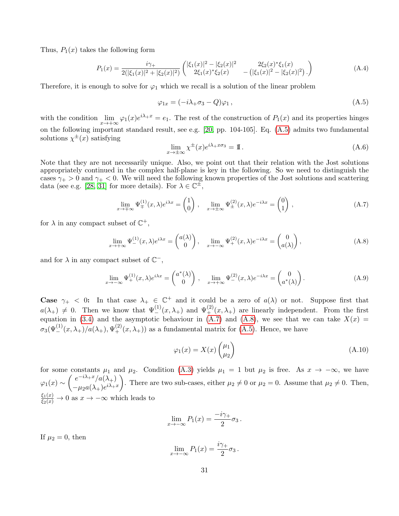Thus,  $P_1(x)$  takes the following form

<span id="page-30-1"></span>
$$
P_1(x) = \frac{i\gamma_+}{2(|\xi_1(x)|^2 + |\xi_2(x)|^2)} \begin{pmatrix} |\xi_1(x)|^2 - |\xi_2(x)|^2 & 2\xi_2(x)^* \xi_1(x) \\ 2\xi_1(x)^* \xi_2(x) & -(|\xi_1(x)|^2 - |\xi_2(x)|^2) \end{pmatrix} \tag{A.4}
$$

Therefore, it is enough to solve for  $\varphi_1$  which we recall is a solution of the linear problem

<span id="page-30-2"></span>
$$
\varphi_{1x} = (-i\lambda_+\sigma_3 - Q)\varphi_1, \qquad (A.5)
$$

with the condition  $\lim_{x\to+\infty} \varphi_1(x)e^{i\lambda+x} = e_1$ . The rest of the construction of  $P_1(x)$  and its properties hinges on the following important standard result, see e.g. [\[20,](#page-36-16) pp. 104-105]. Eq. [\(A.5\)](#page-30-2) admits two fundamental solutions  $\chi^{\pm}(x)$  satisfying

$$
\lim_{x \to \pm \infty} \chi^{\pm}(x) e^{i\lambda + x\sigma_3} = \mathbb{I} \,. \tag{A.6}
$$

Note that they are not necessarily unique. Also, we point out that their relation with the Jost solutions appropriately continued in the complex half-plane is key in the following. So we need to distinguish the cases  $\gamma_{+} > 0$  and  $\gamma_{+} < 0$ . We will need the following known properties of the Jost solutions and scattering data (see e.g. [\[28,](#page-36-17) [31\]](#page-37-9) for more details). For  $\lambda \in \mathbb{C}^{\pm}$ ,

<span id="page-30-3"></span>
$$
\lim_{x \to \pm \infty} \Psi_{\pm}^{(1)}(x,\lambda) e^{i\lambda x} = \begin{pmatrix} 1 \\ 0 \end{pmatrix}, \quad \lim_{x \to \pm \infty} \Psi_{\pm}^{(2)}(x,\lambda) e^{-i\lambda x} = \begin{pmatrix} 0 \\ 1 \end{pmatrix}, \tag{A.7}
$$

for  $\lambda$  in any compact subset of  $\mathbb{C}^+$ ,

<span id="page-30-4"></span>
$$
\lim_{x \to +\infty} \Psi_{-}^{(1)}(x,\lambda)e^{i\lambda x} = \begin{pmatrix} a(\lambda) \\ 0 \end{pmatrix}, \quad \lim_{x \to -\infty} \Psi_{+}^{(2)}(x,\lambda)e^{-i\lambda x} = \begin{pmatrix} 0 \\ a(\lambda) \end{pmatrix},
$$
\n(A.8)

and for  $\lambda$  in any compact subset of  $\mathbb{C}^{-}$ ,

<span id="page-30-5"></span>
$$
\lim_{x \to -\infty} \Psi_+^{(1)}(x,\lambda) e^{i\lambda x} = \begin{pmatrix} a^*(\lambda) \\ 0 \end{pmatrix}, \quad \lim_{x \to +\infty} \Psi_-^{(2)}(x,\lambda) e^{-i\lambda x} = \begin{pmatrix} 0 \\ a^*(\lambda) \end{pmatrix}.
$$
 (A.9)

Case  $\gamma_+$  < 0: In that case  $\lambda_+ \in \mathbb{C}^+$  and it could be a zero of  $a(\lambda)$  or not. Suppose first that  $a(\lambda_+) \neq 0$ . Then we know that  $\Psi_{-}^{(1)}(x,\lambda_+)$  and  $\Psi_{+}^{(2)}(x,\lambda_+)$  are linearly independent. From the first equation in [\(3.4\)](#page-8-2) and the asymptotic behaviour in [\(A.7\)](#page-30-3) and [\(A.8\)](#page-30-4), we see that we can take  $X(x) =$  $\sigma_3(\Psi_-^{(1)}(x,\lambda_+)/a(\lambda_+),\Psi_+^{(2)}(x,\lambda_+))$  as a fundamental matrix for [\(A.5\)](#page-30-2). Hence, we have

<span id="page-30-0"></span>
$$
\varphi_1(x) = X(x) \begin{pmatrix} \mu_1 \\ \mu_2 \end{pmatrix} \tag{A.10}
$$

for some constants  $\mu_1$  and  $\mu_2$ . Condition [\(A.3\)](#page-29-3) yields  $\mu_1 = 1$  but  $\mu_2$  is free. As  $x \to -\infty$ , we have  $\varphi_1(x) \sim \int \frac{e^{-i\lambda_+ x}/a(\lambda_+)}{\mu_1(x)}$  $-\mu_2 a(\lambda_+)e^{i\lambda_+ x}$ ). There are two sub-cases, either  $\mu_2 \neq 0$  or  $\mu_2 = 0$ . Assume that  $\mu_2 \neq 0$ . Then,  $\frac{\xi_1(x)}{\xi_2(x)} \to 0$  as  $x \to -\infty$  which leads to

$$
\lim_{x \to -\infty} P_1(x) = \frac{-i\gamma_+}{2} \sigma_3.
$$

If  $\mu_2 = 0$ , then

$$
\lim_{x \to -\infty} P_1(x) = \frac{i\gamma_+}{2} \sigma_3 \, .
$$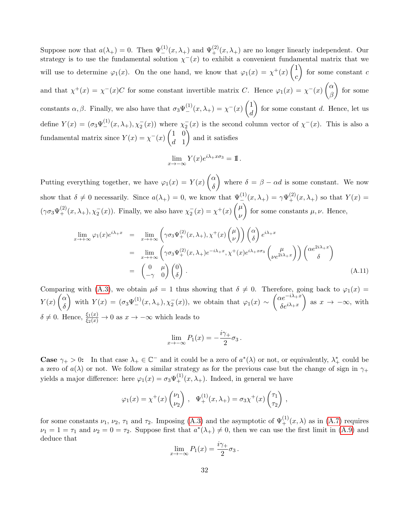Suppose now that  $a(\lambda_+) = 0$ . Then  $\Psi_{-}^{(1)}(x, \lambda_+)$  and  $\Psi_{+}^{(2)}(x, \lambda_+)$  are no longer linearly independent. Our strategy is to use the fundamental solution  $\chi^-(x)$  to exhibit a convenient fundamental matrix that we will use to determine  $\varphi_1(x)$ . On the one hand, we know that  $\varphi_1(x) = \chi^+(x) \begin{pmatrix} 1 \\ 1 \end{pmatrix}$ c for some constant  $c$ and that  $\chi^+(x) = \chi^-(x)C$  for some constant invertible matrix C. Hence  $\varphi_1(x) = \chi^-(x) \begin{pmatrix} \alpha & 0 \\ 0 & \alpha \end{pmatrix}$ β  $\Big)$  for some constants  $\alpha, \beta$ . Finally, we also have that  $\sigma_3 \Psi_{-}^{(1)}(x, \lambda_+) = \chi_{-}^{-}(x) \begin{pmatrix} 1 \\ d \end{pmatrix}$ d for some constant d. Hence, let us define  $Y(x) = (\sigma_3 \Psi_{-}^{(1)}(x, \lambda_+), \chi_2^-(x))$  where  $\chi_2^-(x)$  is the second column vector of  $\chi^-(x)$ . This is also a fundamental matrix since  $Y(x) = \chi^{-1}(x) \begin{pmatrix} 1 & 0 \\ 1 & 1 \end{pmatrix}$  $d<sub>1</sub>$ and it satisfies

$$
\lim_{x \to -\infty} Y(x)e^{i\lambda + x\sigma_3} = \mathbb{1}.
$$

Putting everything together, we have  $\varphi_1(x) = Y(x) \begin{pmatrix} \alpha \\ s \end{pmatrix}$ δ where  $\delta = \beta - \alpha d$  is some constant. We now show that  $\delta \neq 0$  necessarily. Since  $a(\lambda_+) = 0$ , we know that  $\Psi_{-}^{(1)}(x, \lambda_+) = \gamma \Psi_{+}^{(2)}(x, \lambda_+)$  so that  $Y(x) =$  $(\gamma \sigma_3 \Psi_+^{(2)}(x, \lambda_+), \chi_2^-(x))$ . Finally, we also have  $\chi_2^-(x) = \chi^+(x) \begin{pmatrix} \mu & \mu \\ \nu & \mu \end{pmatrix}$ ν for some constants  $\mu, \nu$ . Hence,

$$
\lim_{x \to +\infty} \varphi_1(x) e^{i\lambda + x} = \lim_{x \to +\infty} \left( \gamma \sigma_3 \Psi_+^{(2)}(x, \lambda_+), \chi^+(x) \begin{pmatrix} \mu \\ \nu \end{pmatrix} \right) \begin{pmatrix} \alpha \\ \delta \end{pmatrix} e^{i\lambda + x} \n= \lim_{x \to +\infty} \left( \gamma \sigma_3 \Psi_+^{(2)}(x, \lambda_+) e^{-i\lambda + x}, \chi^+(x) e^{i\lambda + x\sigma_3} \begin{pmatrix} \mu \\ \nu e^{2i\lambda + x} \end{pmatrix} \right) \begin{pmatrix} \alpha e^{2i\lambda + x} \\ \delta \end{pmatrix} \n= \begin{pmatrix} 0 & \mu \\ -\gamma & 0 \end{pmatrix} \begin{pmatrix} 0 \\ \delta \end{pmatrix} .
$$
\n(A.11)

Comparing with [\(A.3\)](#page-29-3), we obtain  $\mu\delta = 1$  thus showing that  $\delta \neq 0$ . Therefore, going back to  $\varphi_1(x) =$  $Y(x)\begin{pmatrix} \alpha \\ s \end{pmatrix}$ δ with  $Y(x) = (\sigma_3 \Psi_{-}^{(1)}(x, \lambda_+), \chi_2^-(x))$ , we obtain that  $\varphi_1(x) \sim \begin{pmatrix} \alpha e^{-i\lambda_+ x} \\ \delta e^{i\lambda_+ x} \end{pmatrix}$  $\delta e^{i\lambda_{+}x}$ as  $x \to -\infty$ , with  $\delta \neq 0$ . Hence,  $\frac{\xi_1(x)}{\xi_2(x)} \to 0$  as  $x \to -\infty$  which leads to

$$
\lim_{x \to -\infty} P_1(x) = -\frac{i\gamma_+}{2}\sigma_3.
$$

**Case**  $\gamma_+ > 0$ : In that case  $\lambda_+ \in \mathbb{C}^-$  and it could be a zero of  $a^*(\lambda)$  or not, or equivalently,  $\lambda_+^*$  could be a zero of  $a(\lambda)$  or not. We follow a similar strategy as for the previous case but the change of sign in  $\gamma_+$ yields a major difference: here  $\varphi_1(x) = \sigma_3 \Psi_+^{(1)}(x, \lambda_+)$ . Indeed, in general we have

$$
\varphi_1(x) = \chi^+(x) \begin{pmatrix} \nu_1 \\ \nu_2 \end{pmatrix}, \quad \Psi_+^{(1)}(x, \lambda_+) = \sigma_3 \chi^+(x) \begin{pmatrix} \tau_1 \\ \tau_2 \end{pmatrix},
$$

for some constants  $\nu_1, \nu_2, \tau_1$  and  $\tau_2$ . Imposing [\(A.3\)](#page-29-3) and the asymptotic of  $\Psi_+^{(1)}(x,\lambda)$  as in [\(A.7\)](#page-30-3) requires  $\nu_1 = 1 = \tau_1$  and  $\nu_2 = 0 = \tau_2$ . Suppose first that  $a^*(\lambda_+) \neq 0$ , then we can use the first limit in [\(A.9\)](#page-30-5) and deduce that

$$
\lim_{x \to -\infty} P_1(x) = \frac{i\gamma_+}{2} \sigma_3 \, .
$$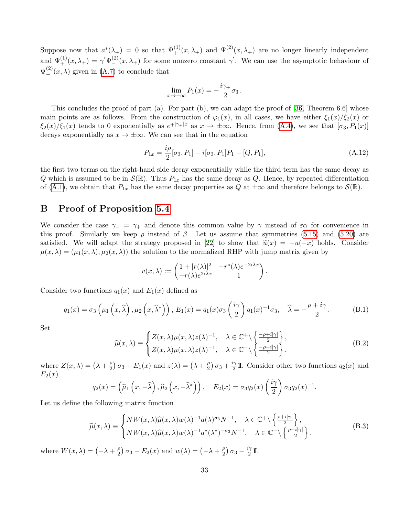Suppose now that  $a^*(\lambda_+) = 0$  so that  $\Psi_+^{(1)}(x,\lambda_+)$  and  $\Psi_-^{(2)}(x,\lambda_+)$  are no longer linearly independent and  $\Psi_{+}^{(1)}(x,\lambda_{+}) = \gamma \Psi_{-}^{(2)}(x,\lambda_{+})$  for some nonzero constant  $\gamma'$ . We can use the asymptotic behaviour of  $\Psi_{-}^{(2)}(x,\lambda)$  given in [\(A.7\)](#page-30-3) to conclude that

$$
\lim_{x \to -\infty} P_1(x) = -\frac{i\gamma_+}{2}\sigma_3.
$$

This concludes the proof of part (a). For part (b), we can adapt the proof of [\[36,](#page-37-10) Theorem 6.6] whose main points are as follows. From the construction of  $\varphi_1(x)$ , in all cases, we have either  $\xi_1(x)/\xi_2(x)$  or  $\xi_2(x)/\xi_1(x)$  tends to 0 exponentially as  $e^{\mp|\gamma_+|x}$  as  $x \to \pm \infty$ . Hence, from  $(A.4)$ , we see that  $[\sigma_3, P_1(x)]$ decays exponentially as  $x \to \pm \infty$ . We can see that in the equation

$$
P_{1x} = \frac{i\rho}{2} [\sigma_3, P_1] + i[\sigma_3, P_1]P_1 - [Q, P_1],
$$
\n(A.12)

the first two terms on the right-hand side decay exponentially while the third term has the same decay as Q which is assumed to be in  $\mathcal{S}(\mathbb{R})$ . Thus  $P_{1x}$  has the same decay as Q. Hence, by repeated differentiation of [\(A.1\)](#page-29-1), we obtain that  $P_{1x}$  has the same decay properties as Q at  $\pm\infty$  and therefore belongs to  $\mathcal{S}(\mathbb{R})$ .

## <span id="page-32-0"></span>B Proof of Proposition [5.4](#page-22-0)

We consider the case  $\gamma_-\equiv \gamma_+$  and denote this common value by  $\gamma$  instead of  $\varepsilon\alpha$  for convenience in this proof. Similarly we keep  $\rho$  instead of  $\beta$ . Let us assume that symmetries [\(5.15\)](#page-20-3) and [\(5.20\)](#page-20-8) are satisfied. We will adapt the strategy proposed in [\[22\]](#page-36-3) to show that  $\tilde{u}(x) = -u(-x)$  holds. Consider  $\mu(x, \lambda) = (\mu_1(x, \lambda), \mu_2(x, \lambda))$  the solution to the normalized RHP with jump matrix given by

$$
v(x,\lambda) := \begin{pmatrix} 1+|r(\lambda)|^2 & -r^*(\lambda)e^{-2i\lambda x} \\ -r(\lambda)e^{2i\lambda x} & 1 \end{pmatrix}.
$$

Consider two functions  $q_1(x)$  and  $E_1(x)$  defined as

$$
q_1(x) = \sigma_3\left(\mu_1\left(x,\widehat{\lambda}\right),\mu_2\left(x,\widehat{\lambda}^*\right)\right), E_1(x) = q_1(x)\sigma_3\left(\frac{i\gamma}{2}\right)q_1(x)^{-1}\sigma_3, \quad \widehat{\lambda} = -\frac{\rho + i\gamma}{2}.
$$
 (B.1)

Set

$$
\widehat{\mu}(x,\lambda) \equiv \begin{cases}\nZ(x,\lambda)\mu(x,\lambda)z(\lambda)^{-1}, & \lambda \in \mathbb{C}^+\backslash \left\{\frac{-\rho+i|\gamma|}{2}\right\}, \\
Z(x,\lambda)\mu(x,\lambda)z(\lambda)^{-1}, & \lambda \in \mathbb{C}^-\backslash \left\{\frac{-\rho-i|\gamma|}{2}\right\},\n\end{cases}
$$
\n(B.2)

where  $Z(x, \lambda) = (\lambda + \frac{\rho}{2})$  $\frac{\rho}{2}$ )  $\sigma_3 + E_1(x)$  and  $z(\lambda) = (\lambda + \frac{\rho}{2})$  $\frac{\rho}{2}$ )  $\sigma_3 + \frac{i\gamma}{2}$  $\frac{2}{2}$ II. Consider other two functions  $q_2(x)$  and  $E_2(x)$ 

$$
q_2(x) = (\widehat{\mu}_1(x, -\widehat{\lambda}), \widehat{\mu}_2(x, -\widehat{\lambda}^*)) , \quad E_2(x) = \sigma_3 q_2(x) \left(\frac{i\gamma}{2}\right) \sigma_3 q_2(x)^{-1}.
$$

Let us define the following matrix function

<span id="page-32-1"></span>
$$
\widetilde{\mu}(x,\lambda) \equiv \begin{cases}\nNW(x,\lambda)\widehat{\mu}(x,\lambda)w(\lambda)^{-1}a(\lambda)^{\sigma_3}N^{-1}, & \lambda \in \mathbb{C}^+\backslash \left\{\frac{\rho+i|\gamma|}{2}\right\}, \\
NW(x,\lambda)\widehat{\mu}(x,\lambda)w(\lambda)^{-1}a^*(\lambda^*)^{-\sigma_3}N^{-1}, & \lambda \in \mathbb{C}^-\backslash \left\{\frac{\rho-i|\gamma|}{2}\right\},\n\end{cases}
$$
\n(B.3)

where  $W(x, \lambda) = \left(-\lambda + \frac{\rho}{2}\right)$  $\frac{\rho}{2}$ )  $\sigma_3 - E_2(x)$  and  $w(\lambda) = \left(-\lambda + \frac{\rho}{2}\right)$  $\frac{\rho}{2}$ )  $\sigma_3 - \frac{i\gamma}{2}$  $\frac{\gamma}{2}$  II.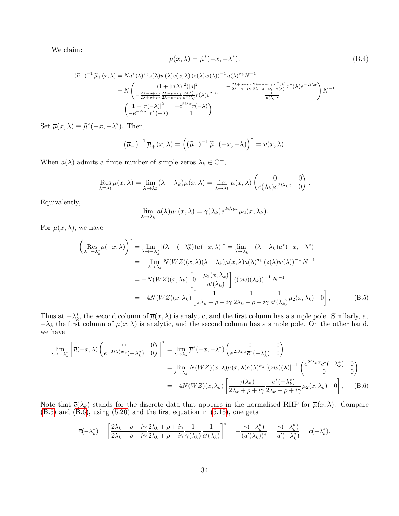We claim:

<span id="page-33-2"></span>
$$
\mu(x,\lambda) = \tilde{\mu}^*(-x,-\lambda^*). \tag{B.4}
$$

$$
(\widetilde{\mu}_{-})^{-1} \widetilde{\mu}_{+}(x,\lambda) = N a^{*}(\lambda)^{\sigma_{3}} z(\lambda) w(\lambda) v(x,\lambda) (z(\lambda) w(\lambda))^{-1} a(\lambda)^{\sigma_{3}} N^{-1}
$$
  
\n
$$
= N \begin{pmatrix} (1+|r(\lambda)|^{2})|a|^{2} & -\frac{2\lambda+\rho+i\gamma}{2\lambda-\rho+i\gamma} \frac{2\lambda+\rho-i\gamma}{2\lambda-\rho-i\gamma} \frac{a^{*}(\lambda)}{a(\lambda)} r^{*}(\lambda) e^{-2i\lambda x} \\ -\frac{2\lambda-\rho+i\gamma}{2\lambda+\rho+i\gamma} \frac{2\lambda-\rho-i\gamma}{2\lambda+\rho-i\gamma} \frac{a(\lambda)}{a^{*}(\lambda)} r(\lambda) e^{2i\lambda x} & \frac{1}{|a(\lambda)|^{2}} \end{pmatrix} N^{-1}
$$
  
\n
$$
= \begin{pmatrix} 1+|r(-\lambda)|^{2} & -e^{2i\lambda x} r(-\lambda) \\ -e^{-2i\lambda x} r^{*}(-\lambda) & 1 \end{pmatrix}.
$$

Set  $\overline{\mu}(x,\lambda) \equiv \widetilde{\mu}^*(-x,-\lambda^*)$ . Then,

$$
(\overline{\mu}_-)^{-1} \overline{\mu}_+(x,\lambda) = ((\widetilde{\mu}_-)^{-1} \widetilde{\mu}_+(-x,-\lambda))^{*} = v(x,\lambda).
$$

When  $a(\lambda)$  admits a finite number of simple zeros  $\lambda_k \in \mathbb{C}^+$ ,

$$
\operatorname{Res}_{\lambda=\lambda_k} \mu(x,\lambda) = \lim_{\lambda \to \lambda_k} (\lambda - \lambda_k) \mu(x,\lambda) = \lim_{\lambda \to \lambda_k} \mu(x,\lambda) \begin{pmatrix} 0 & 0 \\ c(\lambda_k) e^{2i\lambda_k x} & 0 \end{pmatrix}.
$$

Equivalently,

<span id="page-33-1"></span><span id="page-33-0"></span>
$$
\lim_{\lambda \to \lambda_k} a(\lambda) \mu_1(x, \lambda) = \gamma(\lambda_k) e^{2i\lambda_k x} \mu_2(x, \lambda_k).
$$

For  $\overline{\mu}(x,\lambda)$ , we have

$$
\begin{split}\n\left(\operatorname{Res}_{\lambda=-\lambda_{k}^{*}}\overline{\mu}(-x,\lambda)\right)^{*} &= \lim_{\lambda\to-\lambda_{k}^{*}}\left[(\lambda-(-\lambda_{k}^{*}))\overline{\mu}(-x,\lambda)\right]^{*} = \lim_{\lambda\to\lambda_{k}}-(\lambda-\lambda_{k})\overline{\mu}^{*}(-x,-\lambda^{*}) \\
&= -\lim_{\lambda\to\lambda_{k}}N(WZ)(x,\lambda)(\lambda-\lambda_{k})\mu(x,\lambda)a(\lambda)^{\sigma_{3}}\left(z(\lambda)w(\lambda)\right)^{-1}N^{-1} \\
&= -N(WZ)(x,\lambda_{k})\left[0-\frac{\mu_{2}(x,\lambda_{k})}{a'(\lambda_{k})}\right]\left((zw)(\lambda_{k})\right)^{-1}N^{-1} \\
&= -4N(WZ)(x,\lambda_{k})\left[\frac{1}{2\lambda_{k}+\rho-i\gamma}\frac{1}{2\lambda_{k}-\rho-i\gamma}\frac{1}{a'(\lambda_{k})}\mu_{2}(x,\lambda_{k})\right],\n\end{split} \tag{B.5}
$$

Thus at  $-\lambda_k^*$ , the second column of  $\overline{\mu}(x,\lambda)$  is analytic, and the first column has a simple pole. Similarly, at  $-\lambda_k$  the first column of  $\overline{\mu}(x,\lambda)$  is analytic, and the second column has a simple pole. On the other hand, we have

$$
\lim_{\lambda \to -\lambda_k^*} \left[ \overline{\mu}(-x, \lambda) \begin{pmatrix} 0 & 0 \\ e^{-2i\lambda_k^* x} \overline{c}(-\lambda_k^*) & 0 \end{pmatrix} \right]^* = \lim_{\lambda \to \lambda_k} \overline{\mu}^*(-x, -\lambda^*) \begin{pmatrix} 0 & 0 \\ e^{2i\lambda_k x} \overline{c}^*(-\lambda_k^*) & 0 \end{pmatrix}
$$
\n
$$
= \lim_{\lambda \to \lambda_k} N(WZ)(x, \lambda) \mu(x, \lambda) a(\lambda)^{\sigma_3} \left[ (zw)(\lambda) \right]^{-1} \begin{pmatrix} e^{2i\lambda_k x} \overline{c}^*(-\lambda_k^*) & 0 \\ 0 & 0 \end{pmatrix}
$$
\n
$$
= -4N(WZ)(x, \lambda_k) \left[ \frac{\gamma(\lambda_k)}{2\lambda_k + \rho + i\gamma} \frac{\overline{c}^*(-\lambda_k^*)}{2\lambda_k - \rho + i\gamma} \mu_2(x, \lambda_k) \right] \tag{B.6}
$$

Note that  $\bar{c}(\lambda_k)$  stands for the discrete data that appears in the normalised RHP for  $\bar{\mu}(x,\lambda)$ . Compare  $(B.5)$  and  $(B.6)$ , using  $(5.20)$  and the first equation in  $(5.15)$ , one gets

$$
\overline{c}(-\lambda_k^*) = \left[\frac{2\lambda_k - \rho + i\gamma}{2\lambda_k - \rho - i\gamma} \frac{2\lambda_k + \rho + i\gamma}{2\lambda_k + \rho - i\gamma} \frac{1}{\gamma(\lambda_k)} \frac{1}{a'(\lambda_k)}\right]^* = -\frac{\gamma(-\lambda_k^*)}{(a'(\lambda_k))^*} = \frac{\gamma(-\lambda_k^*)}{a'(-\lambda_k^*)} = c(-\lambda_k^*).
$$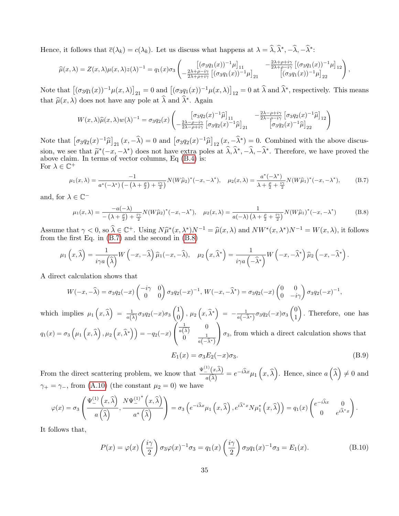Hence, it follows that  $\bar{c}(\lambda_k) = c(\lambda_k)$ . Let us discuss what happens at  $\lambda = \hat{\lambda}, \hat{\lambda}^*, -\hat{\lambda}, -\hat{\lambda}^*$ :

$$
\widehat{\mu}(x,\lambda) = Z(x,\lambda)\mu(x,\lambda)z(\lambda)^{-1} = q_1(x)\sigma_3\left(\begin{bmatrix} (\sigma_3q_1(x))^{-1}\mu \end{bmatrix}_{11} - \frac{2\lambda+\rho+i\gamma}{2\lambda+\rho-i\gamma}\left[ (\sigma_3q_1(x))^{-1}\mu \right]_{12} \right),
$$

Note that  $[(\sigma_3q_1(x))^{-1}\mu(x,\lambda)]_{21} = 0$  and  $[(\sigma_3q_1(x))^{-1}\mu(x,\lambda)]_{12} = 0$  at  $\widehat{\lambda}$  and  $\widehat{\lambda}^*$ , respectively. This means that  $\widehat{\mu}(x, \lambda)$  does not have any pole at  $\widehat{\lambda}$  and  $\widehat{\lambda}^*$ . Again

$$
W(x,\lambda)\widehat{\mu}(x,\lambda)w(\lambda)^{-1} = \sigma_3 q_2(x) \begin{pmatrix} \left[\sigma_3 q_2(x)^{-1}\widehat{\mu}\right]_{11} & -\frac{2\lambda - \rho + i\gamma}{2\lambda - \rho - i\gamma} \left[\sigma_3 q_2(x)^{-1}\widehat{\mu}\right]_{12} \\ -\frac{2\lambda - \rho - i\gamma}{2\lambda - \rho + i\gamma} \left[\sigma_3 q_2(x)^{-1}\widehat{\mu}\right]_{21} & \left[\sigma_3 q_2(x)^{-1}\widehat{\mu}\right]_{22} \end{pmatrix}
$$

Note that  $\left[\sigma_3q_2(x)^{-1}\hat{\mu}\right]_{21}(x,-\hat{\lambda}) = 0$  and  $\left[\sigma_3q_2(x)^{-1}\hat{\mu}\right]_{12}(x,-\hat{\lambda}^*) = 0$ . Combined with the above discussion, we see that  $\widetilde{\mu}^*(-x,-\lambda^*)$  does not have extra poles at  $\widehat{\lambda}, \widehat{\lambda}^*, -\widehat{\lambda}, -\widehat{\lambda}^*$ . Therefore, we have proved the above claim. In terms of vector columns, Eq. (B.4) is: above claim. In terms of vector columns, Eq  $(B.4)$  is: For  $\lambda \in \mathbb{C}^+$ 

<span id="page-34-0"></span>
$$
\mu_1(x,\lambda) = \frac{-1}{a^*(-\lambda^*) \left( -\left(\lambda + \frac{\rho}{2}\right) + \frac{i\gamma}{2} \right)} N(W\widehat{\mu}_2)^*(-x, -\lambda^*), \quad \mu_2(x,\lambda) = \frac{a^*(-\lambda^*)}{\lambda + \frac{\rho}{2} + \frac{i\gamma}{2}} N(W\widehat{\mu}_1)^*(-x, -\lambda^*), \tag{B.7}
$$

and, for  $\lambda \in \mathbb{C}^-$ 

<span id="page-34-1"></span>
$$
\mu_1(x,\lambda) = \frac{-a(-\lambda)}{-\left(\lambda + \frac{\rho}{2}\right) + \frac{i\gamma}{2}} N(W\widehat{\mu}_2)^*(-x, -\lambda^*), \quad \mu_2(x,\lambda) = \frac{1}{a(-\lambda)\left(\lambda + \frac{\rho}{2} + \frac{i\gamma}{2}\right)} N(W\widehat{\mu}_1)^*(-x, -\lambda^*)
$$
(B.8)

Assume that  $\gamma < 0$ , so  $\hat{\lambda} \in \mathbb{C}^+$ . Using  $N \hat{\mu}^*(x, \lambda^*) N^{-1} = \hat{\mu}(x, \lambda)$  and  $N W^*(x, \lambda^*) N^{-1} = W(x, \lambda)$ , it follows from the first Eq. in (B.7) and the second in (B.8) from the first Eq. in [\(B.7\)](#page-34-0) and the second in [\(B.8\)](#page-34-1)

$$
\mu_1\left(x,\widehat{\lambda}\right) = \frac{1}{i\gamma a\left(\widehat{\lambda}\right)}W\left(-x,-\widehat{\lambda}\right)\widehat{\mu}_1(-x,-\widehat{\lambda}), \quad \mu_2\left(x,\widehat{\lambda}^*\right) = \frac{1}{i\gamma a\left(-\widehat{\lambda}^*\right)}W\left(-x,-\widehat{\lambda}^*\right)\widehat{\mu}_2\left(-x,-\widehat{\lambda}^*\right).
$$

A direct calculation shows that

$$
W(-x,-\widehat{\lambda})=\sigma_3q_2(-x)\begin{pmatrix}-i\gamma & 0\\0 & 0\end{pmatrix}\sigma_3q_2(-x)^{-1},\ W(-x,-\widehat{\lambda}^*)=\sigma_3q_2(-x)\begin{pmatrix}0 & 0\\0 & -i\gamma\end{pmatrix}\sigma_3q_2(-x)^{-1},
$$

which implies  $\mu_1(x,\hat{\lambda}) = \frac{1}{a(\hat{\lambda})} \sigma_3 q_2(-x) \sigma_3 \begin{pmatrix} 1 \\ 0 \end{pmatrix}$ 0  $\bigg),\, \mu_2\left(x,\widehat{\lambda}^*\right) \;=\; -\frac{1}{a(-\widehat{\lambda}^*)}\sigma_3q_2(-x)\sigma_3\begin{pmatrix}0\0\1\end{pmatrix}$ 1 . Therefore, one has  $q_{1}(x) = \sigma_{3}\left(\mu_{1}\left(x, \widehat{\lambda}\right), \mu_{2}\left(x, \widehat{\lambda}^{*}\right)\right) = -q_{2}(-x)$  $\sqrt{ }$  $\mathcal{L}$  $\frac{1}{a(\widehat{\lambda})}$  0  $0 \qquad \frac{1}{a(-\widehat{\lambda}^*)}$  $\setminus$  $\sigma_3$ , from which a direct calculation shows that

$$
E_1(x) = \sigma_3 E_2(-x)\sigma_3.
$$
 (B.9)

From the direct scattering problem, we know that  $\frac{\Psi^{(1)}(x,\hat{\lambda})}{\hat{\Delta}}$  $\frac{d\hat{\lambda}}{d(\hat{\lambda})} = e^{-i\hat{\lambda}x}\mu_1(x,\hat{\lambda})$ . Hence, since  $a(\hat{\lambda}) \neq 0$  and  $\gamma_+ = \gamma_-,$  from [\(A.10\)](#page-30-0) (the constant  $\mu_2 = 0$ ) we have

$$
\varphi(x) = \sigma_3 \left( \frac{\Psi_{-}^{(1)}(x,\hat{\lambda})}{a(\hat{\lambda})}, \frac{N \Psi_{-}^{(1)^*}(x,\hat{\lambda})}{a^* (\hat{\lambda})} \right) = \sigma_3 \left( e^{-i\hat{\lambda}x} \mu_1(x,\hat{\lambda}) \right), e^{i\hat{\lambda}^* x} N \mu_1^* (x,\hat{\lambda}) = q_1(x) \begin{pmatrix} e^{-i\hat{\lambda}x} & 0 \\ 0 & e^{i\hat{\lambda}^* x} \end{pmatrix}.
$$

It follows that,

$$
P(x) = \varphi(x) \left(\frac{i\gamma}{2}\right) \sigma_3 \varphi(x)^{-1} \sigma_3 = q_1(x) \left(\frac{i\gamma}{2}\right) \sigma_3 q_1(x)^{-1} \sigma_3 = E_1(x). \tag{B.10}
$$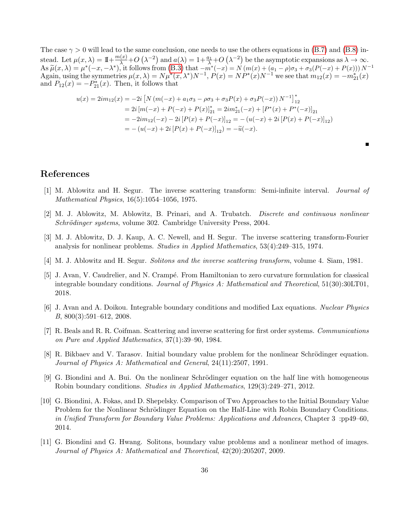The case  $\gamma > 0$  will lead to the same conclusion, one needs to use the others equations in [\(B.7\)](#page-34-0) and [\(B.8\)](#page-34-1) instead. Let  $\mu(x, \lambda) = 1 + \frac{m(x)}{\lambda} + O\left(\lambda^{-2}\right)$  and  $a(\lambda) = 1 + \frac{a_1}{\lambda} + O\left(\lambda^{-2}\right)$  be the asymptotic expansions as  $\lambda \to \infty$ . As  $\widetilde{\mu}(x,\lambda) = \mu^*(-x,-\lambda^*)$ , it follows from [\(B.3\)](#page-32-1) that  $-m^*(-x) = N(m(x) + (a_1 - \rho)\sigma_3 + \sigma_3(P(-x) + P(x)))N^{-1}$ <br>Again using the symmetries  $\mu(x,\lambda) = N\mu^*(x,\lambda^*)N^{-1}P(x) = N\mu^*(x)N^{-1}$  we see that  $m_1(x) = -m^*(x)$ Again, using the symmetries  $\mu(x, \lambda) = N \mu^*(x, \lambda^*) N^{-1}$ ,  $P(x) = N P^*(x) N^{-1}$  we see that  $m_{12}(x) = -m_{21}^*(x)$ and  $P_{12}(x) = -P_{21}^*(x)$ . Then, it follows that

$$
u(x) = 2im_{12}(x) = -2i [N (m(-x) + a_1\sigma_3 - \rho\sigma_3 + \sigma_3 P(x) + \sigma_3 P(-x)) N^{-1}]_{12}^*
$$
  
= 2i [m(-x) + P(-x) + P(x)]\_{21}^\* = 2im\_{21}^\*(-x) + [P^\*(x) + P^\*(-x)]\_{21}  
= -2im\_{12}(-x) - 2i [P(x) + P(-x)]\_{12} = -(u(-x) + 2i [P(x) + P(-x)]\_{12})  
= -(u(-x) + 2i [P(x) + P(-x)]\_{12}) = -\tilde{u}(-x).

# References

- <span id="page-35-4"></span>[1] M. Ablowitz and H. Segur. The inverse scattering transform: Semi-infinite interval. Journal of Mathematical Physics, 16(5):1054–1056, 1975.
- <span id="page-35-10"></span>[2] M. J. Ablowitz, M. Ablowitz, B. Prinari, and A. Trubatch. Discrete and continuous nonlinear Schrödinger systems, volume 302. Cambridge University Press, 2004.
- <span id="page-35-0"></span>[3] M. J. Ablowitz, D. J. Kaup, A. C. Newell, and H. Segur. The inverse scattering transform-Fourier analysis for nonlinear problems. Studies in Applied Mathematics, 53(4):249–315, 1974.
- <span id="page-35-8"></span>[4] M. J. Ablowitz and H. Segur. Solitons and the inverse scattering transform, volume 4. Siam, 1981.
- <span id="page-35-5"></span>[5] J. Avan, V. Caudrelier, and N. Crampé. From Hamiltonian to zero curvature formulation for classical integrable boundary conditions. Journal of Physics A: Mathematical and Theoretical, 51(30):30LT01, 2018.
- <span id="page-35-6"></span>[6] J. Avan and A. Doikou. Integrable boundary conditions and modified Lax equations. Nuclear Physics B, 800(3):591–612, 2008.
- <span id="page-35-9"></span>[7] R. Beals and R. R. Coifman. Scattering and inverse scattering for first order systems. Communications on Pure and Applied Mathematics, 37(1):39–90, 1984.
- <span id="page-35-1"></span>[8] R. Bikbaev and V. Tarasov. Initial boundary value problem for the nonlinear Schrödinger equation. Journal of Physics A: Mathematical and General, 24(11):2507, 1991.
- <span id="page-35-3"></span>[9] G. Biondini and A. Bui. On the nonlinear Schrödinger equation on the half line with homogeneous Robin boundary conditions. Studies in Applied Mathematics, 129(3):249–271, 2012.
- <span id="page-35-7"></span>[10] G. Biondini, A. Fokas, and D. Shepelsky. Comparison of Two Approaches to the Initial Boundary Value Problem for the Nonlinear Schrödinger Equation on the Half-Line with Robin Boundary Conditions. in Unified Transform for Boundary Value Problems: Applications and Advances, Chapter 3 :pp49–60, 2014.
- <span id="page-35-2"></span>[11] G. Biondini and G. Hwang. Solitons, boundary value problems and a nonlinear method of images. Journal of Physics A: Mathematical and Theoretical, 42(20):205207, 2009.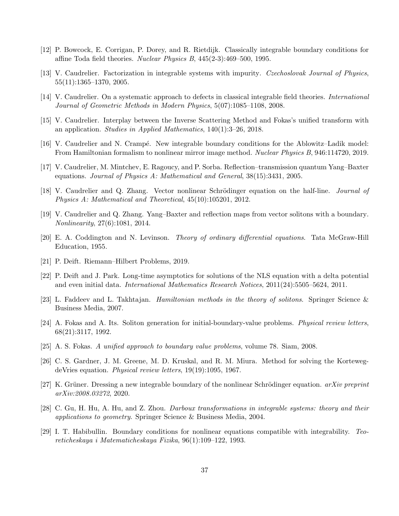- <span id="page-36-2"></span>[12] P. Bowcock, E. Corrigan, P. Dorey, and R. Rietdijk. Classically integrable boundary conditions for affine Toda field theories. Nuclear Physics B, 445(2-3):469–500, 1995.
- <span id="page-36-14"></span>[13] V. Caudrelier. Factorization in integrable systems with impurity. Czechoslovak Journal of Physics, 55(11):1365–1370, 2005.
- <span id="page-36-10"></span>[14] V. Caudrelier. On a systematic approach to defects in classical integrable field theories. International Journal of Geometric Methods in Modern Physics, 5(07):1085–1108, 2008.
- <span id="page-36-5"></span>[15] V. Caudrelier. Interplay between the Inverse Scattering Method and Fokas's unified transform with an application. Studies in Applied Mathematics, 140(1):3–26, 2018.
- <span id="page-36-7"></span>[16] V. Caudrelier and N. Crampé. New integrable boundary conditions for the Ablowitz–Ladik model: From Hamiltonian formalism to nonlinear mirror image method. Nuclear Physics B, 946:114720, 2019.
- <span id="page-36-13"></span>[17] V. Caudrelier, M. Mintchev, E. Ragoucy, and P. Sorba. Reflection–transmission quantum Yang–Baxter equations. Journal of Physics A: Mathematical and General, 38(15):3431, 2005.
- <span id="page-36-4"></span>[18] V. Caudrelier and Q. Zhang. Vector nonlinear Schrödinger equation on the half-line. *Journal of* Physics A: Mathematical and Theoretical, 45(10):105201, 2012.
- <span id="page-36-12"></span>[19] V. Caudrelier and Q. Zhang. Yang–Baxter and reflection maps from vector solitons with a boundary. Nonlinearity, 27(6):1081, 2014.
- <span id="page-36-16"></span>[20] E. A. Coddington and N. Levinson. Theory of ordinary differential equations. Tata McGraw-Hill Education, 1955.
- <span id="page-36-11"></span>[21] P. Deift. Riemann–Hilbert Problems, 2019.
- <span id="page-36-3"></span>[22] P. Deift and J. Park. Long-time asymptotics for solutions of the NLS equation with a delta potential and even initial data. International Mathematics Research Notices, 2011(24):5505–5624, 2011.
- <span id="page-36-1"></span>[23] L. Faddeev and L. Takhtajan. Hamiltonian methods in the theory of solitons. Springer Science & Business Media, 2007.
- <span id="page-36-15"></span>[24] A. Fokas and A. Its. Soliton generation for initial-boundary-value problems. Physical review letters, 68(21):3117, 1992.
- <span id="page-36-6"></span>[25] A. S. Fokas. A unified approach to boundary value problems, volume 78. Siam, 2008.
- <span id="page-36-0"></span>[26] C. S. Gardner, J. M. Greene, M. D. Kruskal, and R. M. Miura. Method for solving the KortewegdeVries equation. Physical review letters, 19(19):1095, 1967.
- <span id="page-36-8"></span>[27] K. Grüner. Dressing a new integrable boundary of the nonlinear Schrödinger equation.  $arXiv$  preprint arXiv:2008.03272, 2020.
- <span id="page-36-17"></span>[28] C. Gu, H. Hu, A. Hu, and Z. Zhou. Darboux transformations in integrable systems: theory and their applications to geometry. Springer Science & Business Media, 2004.
- <span id="page-36-9"></span>[29] I. T. Habibullin. Boundary conditions for nonlinear equations compatible with integrability. Teoreticheskaya i Matematicheskaya Fizika, 96(1):109–122, 1993.